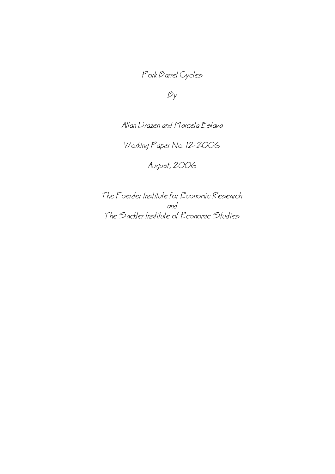# Pork Barrel Cycles

 $B_y$ 

Allan Drazen and Marcela Eslava

Working Paper No. 12−2006

August, 2006

The Foerder Institute for Economic Research and The Sackler Institute of Economic Studies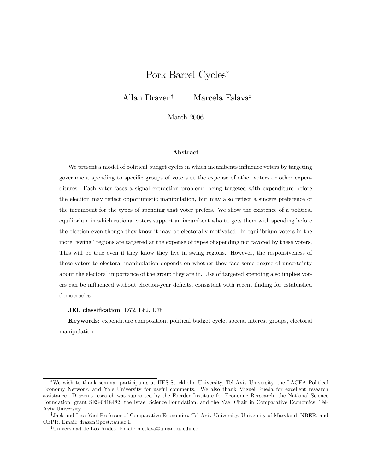## Pork Barrel Cycles<sup>∗</sup>

Allan Drazen† Marcela Eslava‡

March 2006

#### Abstract

We present a model of political budget cycles in which incumbents influence voters by targeting government spending to specific groups of voters at the expense of other voters or other expenditures. Each voter faces a signal extraction problem: being targeted with expenditure before the election may reflect opportunistic manipulation, but may also reflect a sincere preference of the incumbent for the types of spending that voter prefers. We show the existence of a political equilibrium in which rational voters support an incumbent who targets them with spending before the election even though they know it may be electorally motivated. In equilibrium voters in the more "swing" regions are targeted at the expense of types of spending not favored by these voters. This will be true even if they know they live in swing regions. However, the responsiveness of these voters to electoral manipulation depends on whether they face some degree of uncertainty about the electoral importance of the group they are in. Use of targeted spending also implies voters can be influenced without election-year deficits, consistent with recent finding for established democracies.

#### JEL classification: D72, E62, D78

Keywords: expenditure composition, political budget cycle, special interest groups, electoral manipulation

<sup>∗</sup>We wish to thank seminar participants at IIES-Stockholm University, Tel Aviv University, the LACEA Political Economy Network, and Yale University for useful comments. We also thank Miguel Rueda for excellent research assistance. Drazen's research was supported by the Foerder Institute for Economic Rersearch, the National Science Foundation, grant SES-0418482, the Israel Science Foundation, and the Yael Chair in Comparative Economics, Tel-Aviv University.

<sup>†</sup>Jack and Lisa Yael Professor of Comparative Economics, Tel Aviv University, University of Maryland, NBER, and CEPR. Email: drazen@post.tau.ac.il

<sup>‡</sup>Universidad de Los Andes. Email: meslava@uniandes.edu.co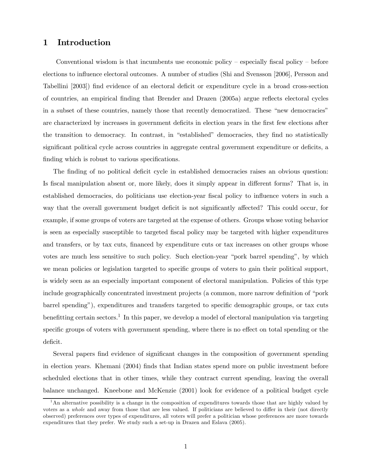## 1 Introduction

Conventional wisdom is that incumbents use economic policy — especially fiscal policy — before elections to influence electoral outcomes. A number of studies (Shi and Svensson [2006], Persson and Tabellini [2003]) find evidence of an electoral deficit or expenditure cycle in a broad cross-section of countries, an empirical finding that Brender and Drazen (2005a) argue reflects electoral cycles in a subset of these countries, namely those that recently democratized. These "new democracies" are characterized by increases in government deficits in election years in the first few elections after the transition to democracy. In contrast, in "established" democracies, they find no statistically significant political cycle across countries in aggregate central government expenditure or deficits, a finding which is robust to various specifications.

The finding of no political deficit cycle in established democracies raises an obvious question: Is fiscal manipulation absent or, more likely, does it simply appear in different forms? That is, in established democracies, do politicians use election-year fiscal policy to influence voters in such a way that the overall government budget deficit is not significantly affected? This could occur, for example, if some groups of voters are targeted at the expense of others. Groups whose voting behavior is seen as especially susceptible to targeted fiscal policy may be targeted with higher expenditures and transfers, or by tax cuts, financed by expenditure cuts or tax increases on other groups whose votes are much less sensitive to such policy. Such election-year "pork barrel spending", by which we mean policies or legislation targeted to specific groups of voters to gain their political support, is widely seen as an especially important component of electoral manipulation. Policies of this type include geographically concentrated investment projects (a common, more narrow definition of "pork barrel spending"), expenditures and transfers targeted to specific demographic groups, or tax cuts benefitting certain sectors.<sup>1</sup> In this paper, we develop a model of electoral manipulation via targeting specific groups of voters with government spending, where there is no effect on total spending or the deficit.

Several papers find evidence of significant changes in the composition of government spending in election years. Khemani (2004) finds that Indian states spend more on public investment before scheduled elections that in other times, while they contract current spending, leaving the overall balance unchanged. Kneebone and McKenzie (2001) look for evidence of a political budget cycle

<sup>&</sup>lt;sup>1</sup>An alternative possibility is a change in the composition of expenditures towards those that are highly valued by voters as a whole and away from those that are less valued. If politicians are believed to differ in their (not directly observed) preferences over types of expenditures, all voters will prefer a politician whose preferences are more towards expenditures that they prefer. We study such a set-up in Drazen and Eslava (2005).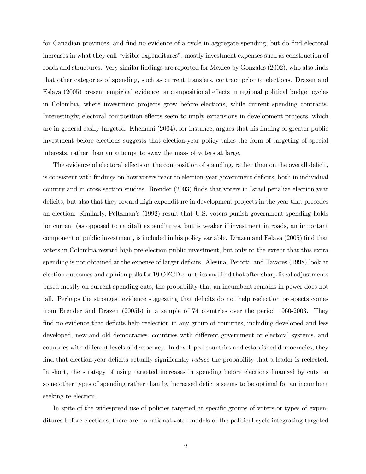for Canadian provinces, and find no evidence of a cycle in aggregate spending, but do find electoral increases in what they call "visible expenditures", mostly investment expenses such as construction of roads and structures. Very similar findings are reported for Mexico by Gonzales (2002), who also finds that other categories of spending, such as current transfers, contract prior to elections. Drazen and Eslava (2005) present empirical evidence on compositional effects in regional political budget cycles in Colombia, where investment projects grow before elections, while current spending contracts. Interestingly, electoral composition effects seem to imply expansions in development projects, which are in general easily targeted. Khemani (2004), for instance, argues that his finding of greater public investment before elections suggests that election-year policy takes the form of targeting of special interests, rather than an attempt to sway the mass of voters at large.

The evidence of electoral effects on the composition of spending, rather than on the overall deficit, is consistent with findings on how voters react to election-year government deficits, both in individual country and in cross-section studies. Brender (2003) finds that voters in Israel penalize election year deficits, but also that they reward high expenditure in development projects in the year that precedes an election. Similarly, Peltzman's (1992) result that U.S. voters punish government spending holds for current (as opposed to capital) expenditures, but is weaker if investment in roads, an important component of public investment, is included in his policy variable. Drazen and Eslava (2005) find that voters in Colombia reward high pre-election public investment, but only to the extent that this extra spending is not obtained at the expense of larger deficits. Alesina, Perotti, and Tavares (1998) look at election outcomes and opinion polls for 19 OECD countries and find that after sharp fiscal adjustments based mostly on current spending cuts, the probability that an incumbent remains in power does not fall. Perhaps the strongest evidence suggesting that deficits do not help reelection prospects comes from Brender and Drazen (2005b) in a sample of 74 countries over the period 1960-2003. They find no evidence that deficits help reelection in any group of countries, including developed and less developed, new and old democracies, countries with different government or electoral systems, and countries with different levels of democracy. In developed countries and established democracies, they find that election-year deficits actually significantly *reduce* the probability that a leader is reelected. In short, the strategy of using targeted increases in spending before elections financed by cuts on some other types of spending rather than by increased deficits seems to be optimal for an incumbent seeking re-election.

In spite of the widespread use of policies targeted at specific groups of voters or types of expenditures before elections, there are no rational-voter models of the political cycle integrating targeted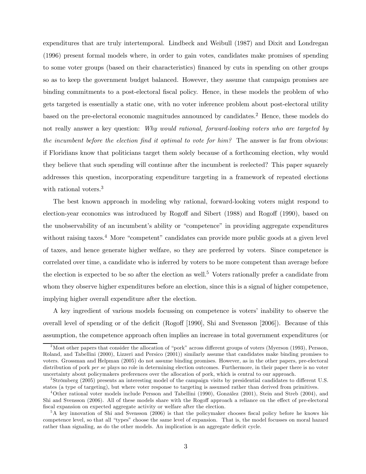expenditures that are truly intertemporal. Lindbeck and Weibull (1987) and Dixit and Londregan (1996) present formal models where, in order to gain votes, candidates make promises of spending to some voter groups (based on their characteristics) financed by cuts in spending on other groups so as to keep the government budget balanced. However, they assume that campaign promises are binding commitments to a post-electoral fiscal policy. Hence, in these models the problem of who gets targeted is essentially a static one, with no voter inference problem about post-electoral utility based on the pre-electoral economic magnitudes announced by candidates.2 Hence, these models do not really answer a key question: Why would rational, forward-looking voters who are targeted by the incumbent before the election find it optimal to vote for him? The answer is far from obvious: if Floridians know that politicians target them solely because of a forthcoming election, why would they believe that such spending will continue after the incumbent is reelected? This paper squarely addresses this question, incorporating expenditure targeting in a framework of repeated elections with rational voters.<sup>3</sup>

The best known approach in modeling why rational, forward-looking voters might respond to election-year economics was introduced by Rogoff and Sibert (1988) and Rogoff (1990), based on the unobservability of an incumbent's ability or "competence" in providing aggregate expenditures without raising taxes.<sup>4</sup> More "competent" candidates can provide more public goods at a given level of taxes, and hence generate higher welfare, so they are preferred by voters. Since competence is correlated over time, a candidate who is inferred by voters to be more competent than average before the election is expected to be so after the election as well.<sup>5</sup> Voters rationally prefer a candidate from whom they observe higher expenditures before an election, since this is a signal of higher competence, implying higher overall expenditure after the election.

A key ingredient of various models focussing on competence is voters' inability to observe the overall level of spending or of the deficit (Rogoff [1990], Shi and Svensson [2006]). Because of this assumption, the competence approach often implies an increase in total government expenditures (or

<sup>&</sup>lt;sup>2</sup>Most other papers that consider the allocation of "pork" across different groups of voters (Myerson (1993), Persson, Roland, and Tabellini (2000), Lizzeri and Persico (2001)) similarly assume that candidates make binding promises to voters. Grossman and Helpman (2005) do not assume binding promises. However, as in the other papers, pre-electoral distribution of pork per se plays no role in determining election outcomes. Furthermore, in their paper there is no voter uncertainty about policymakers preferences over the allocation of pork, which is central to our approach.

<sup>3</sup>Strömberg (2005) presents an interesting model of the campaign visits by presidential candidates to different U.S. states (a type of targeting), but where voter response to targeting is assumed rather than derived from primitives.

<sup>4</sup>Other rational voter models include Persson and Tabellini (1990), González (2001), Stein and Streb (2004), and Shi and Svensson (2006). All of these models share with the Rogoff approach a reliance on the effect of pre-electoral fiscal expansion on expected aggregate activity or welfare after the election.

<sup>5</sup>A key innovation of Shi and Svensson (2006) is that the policymaker chooses fiscal policy before he knows his competence level, so that all "types" choose the same level of expansion. That is, the model focusses on moral hazard rather than signaling, as do the other models. An implication is an aggregate deficit cycle.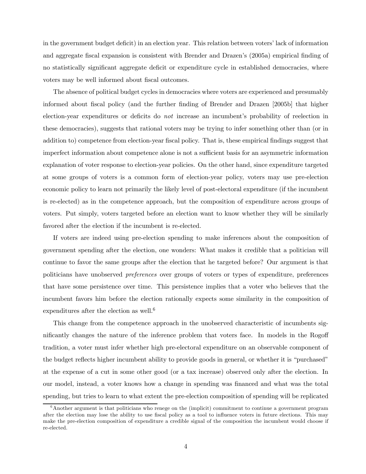in the government budget deficit) in an election year. This relation between voters' lack of information and aggregate fiscal expansion is consistent with Brender and Drazen's (2005a) empirical finding of no statistically significant aggregate deficit or expenditure cycle in established democracies, where voters may be well informed about fiscal outcomes.

The absence of political budget cycles in democracies where voters are experienced and presumably informed about fiscal policy (and the further finding of Brender and Drazen [2005b] that higher election-year expenditures or deficits do not increase an incumbent's probability of reelection in these democracies), suggests that rational voters may be trying to infer something other than (or in addition to) competence from election-year fiscal policy. That is, these empirical findings suggest that imperfect information about competence alone is not a sufficient basis for an asymmetric information explanation of voter response to election-year policies. On the other hand, since expenditure targeted at some groups of voters is a common form of election-year policy, voters may use pre-election economic policy to learn not primarily the likely level of post-electoral expenditure (if the incumbent is re-elected) as in the competence approach, but the composition of expenditure across groups of voters. Put simply, voters targeted before an election want to know whether they will be similarly favored after the election if the incumbent is re-elected.

If voters are indeed using pre-election spending to make inferences about the composition of government spending after the election, one wonders: What makes it credible that a politician will continue to favor the same groups after the election that he targeted before? Our argument is that politicians have unobserved preferences over groups of voters or types of expenditure, preferences that have some persistence over time. This persistence implies that a voter who believes that the incumbent favors him before the election rationally expects some similarity in the composition of expenditures after the election as well.<sup>6</sup>

This change from the competence approach in the unobserved characteristic of incumbents significantly changes the nature of the inference problem that voters face. In models in the Rogoff tradition, a voter must infer whether high pre-electoral expenditure on an observable component of the budget reflects higher incumbent ability to provide goods in general, or whether it is "purchased" at the expense of a cut in some other good (or a tax increase) observed only after the election. In our model, instead, a voter knows how a change in spending was financed and what was the total spending, but tries to learn to what extent the pre-election composition of spending will be replicated

 $6A$ nother argument is that politicians who renege on the (implicit) commitment to continue a government program after the election may lose the ability to use fiscal policy as a tool to influence voters in future elections. This may make the pre-election composition of expenditure a credible signal of the composition the incumbent would choose if re-elected.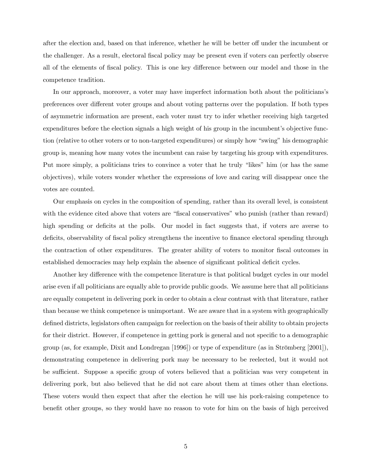after the election and, based on that inference, whether he will be better off under the incumbent or the challenger. As a result, electoral fiscal policy may be present even if voters can perfectly observe all of the elements of fiscal policy. This is one key difference between our model and those in the competence tradition.

In our approach, moreover, a voter may have imperfect information both about the politicians's preferences over different voter groups and about voting patterns over the population. If both types of asymmetric information are present, each voter must try to infer whether receiving high targeted expenditures before the election signals a high weight of his group in the incumbent's objective function (relative to other voters or to non-targeted expenditures) or simply how "swing" his demographic group is, meaning how many votes the incumbent can raise by targeting his group with expenditures. Put more simply, a politicians tries to convince a voter that he truly "likes" him (or has the same objectives), while voters wonder whether the expressions of love and caring will disappear once the votes are counted.

Our emphasis on cycles in the composition of spending, rather than its overall level, is consistent with the evidence cited above that voters are "fiscal conservatives" who punish (rather than reward) high spending or deficits at the polls. Our model in fact suggests that, if voters are averse to deficits, observability of fiscal policy strengthens the incentive to finance electoral spending through the contraction of other expenditures. The greater ability of voters to monitor fiscal outcomes in established democracies may help explain the absence of significant political deficit cycles.

Another key difference with the competence literature is that political budget cycles in our model arise even if all politicians are equally able to provide public goods. We assume here that all politicians are equally competent in delivering pork in order to obtain a clear contrast with that literature, rather than because we think competence is unimportant. We are aware that in a system with geographically defined districts, legislators often campaign for reelection on the basis of their ability to obtain projects for their district. However, if competence in getting pork is general and not specific to a demographic group (as, for example, Dixit and Londregan [1996]) or type of expenditure (as in Strömberg [2001]), demonstrating competence in delivering pork may be necessary to be reelected, but it would not be sufficient. Suppose a specific group of voters believed that a politician was very competent in delivering pork, but also believed that he did not care about them at times other than elections. These voters would then expect that after the election he will use his pork-raising competence to benefit other groups, so they would have no reason to vote for him on the basis of high perceived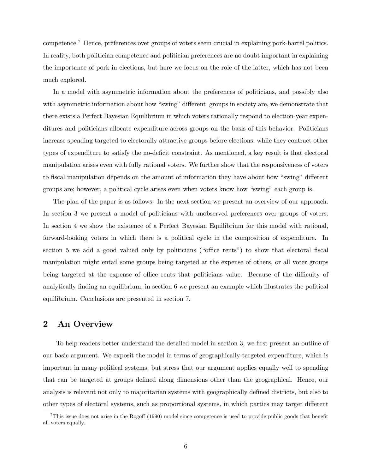competence.7 Hence, preferences over groups of voters seem crucial in explaining pork-barrel politics. In reality, both politician competence and politician preferences are no doubt important in explaining the importance of pork in elections, but here we focus on the role of the latter, which has not been much explored.

In a model with asymmetric information about the preferences of politicians, and possibly also with asymmetric information about how "swing" different groups in society are, we demonstrate that there exists a Perfect Bayesian Equilibrium in which voters rationally respond to election-year expenditures and politicians allocate expenditure across groups on the basis of this behavior. Politicians increase spending targeted to electorally attractive groups before elections, while they contract other types of expenditure to satisfy the no-deficit constraint. As mentioned, a key result is that electoral manipulation arises even with fully rational voters. We further show that the responsiveness of voters to fiscal manipulation depends on the amount of information they have about how "swing" different groups are; however, a political cycle arises even when voters know how "swing" each group is.

The plan of the paper is as follows. In the next section we present an overview of our approach. In section 3 we present a model of politicians with unobserved preferences over groups of voters. In section 4 we show the existence of a Perfect Bayesian Equilibrium for this model with rational, forward-looking voters in which there is a political cycle in the composition of expenditure. In section 5 we add a good valued only by politicians ("office rents") to show that electoral fiscal manipulation might entail some groups being targeted at the expense of others, or all voter groups being targeted at the expense of office rents that politicians value. Because of the difficulty of analytically finding an equilibrium, in section 6 we present an example which illustrates the political equilibrium. Conclusions are presented in section 7.

## 2 An Overview

To help readers better understand the detailed model in section 3, we first present an outline of our basic argument. We exposit the model in terms of geographically-targeted expenditure, which is important in many political systems, but stress that our argument applies equally well to spending that can be targeted at groups defined along dimensions other than the geographical. Hence, our analysis is relevant not only to majoritarian systems with geographically defined districts, but also to other types of electoral systems, such as proportional systems, in which parties may target different

<sup>&</sup>lt;sup>7</sup>This issue does not arise in the Rogoff (1990) model since competence is used to provide public goods that benefit all voters equally.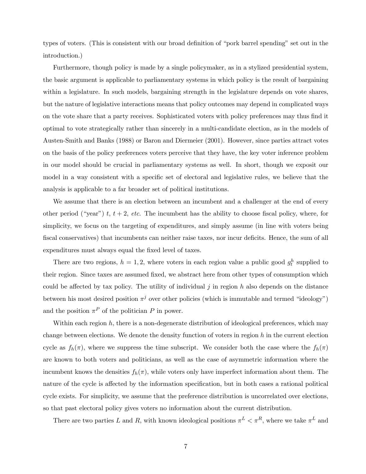types of voters. (This is consistent with our broad definition of "pork barrel spending" set out in the introduction.)

Furthermore, though policy is made by a single policymaker, as in a stylized presidential system, the basic argument is applicable to parliamentary systems in which policy is the result of bargaining within a legislature. In such models, bargaining strength in the legislature depends on vote shares, but the nature of legislative interactions means that policy outcomes may depend in complicated ways on the vote share that a party receives. Sophisticated voters with policy preferences may thus find it optimal to vote strategically rather than sincerely in a multi-candidate election, as in the models of Austen-Smith and Banks (1988) or Baron and Diermeier (2001). However, since parties attract votes on the basis of the policy preferences voters perceive that they have, the key voter inference problem in our model should be crucial in parliamentary systems as well. In short, though we exposit our model in a way consistent with a specific set of electoral and legislative rules, we believe that the analysis is applicable to a far broader set of political institutions.

We assume that there is an election between an incumbent and a challenger at the end of every other period ("year") t,  $t + 2$ , etc. The incumbent has the ability to choose fiscal policy, where, for simplicity, we focus on the targeting of expenditures, and simply assume (in line with voters being fiscal conservatives) that incumbents can neither raise taxes, nor incur deficits. Hence, the sum of all expenditures must always equal the fixed level of taxes.

There are two regions,  $h = 1, 2$ , where voters in each region value a public good  $g_t^h$  supplied to their region. Since taxes are assumed fixed, we abstract here from other types of consumption which could be affected by tax policy. The utility of individual  $j$  in region  $h$  also depends on the distance between his most desired position  $\pi^{j}$  over other policies (which is immutable and termed "ideology") and the position  $\pi^P$  of the politician P in power.

Within each region  $h$ , there is a non-degenerate distribution of ideological preferences, which may change between elections. We denote the density function of voters in region  $h$  in the current election cycle as  $f_h(\pi)$ , where we suppress the time subscript. We consider both the case where the  $f_h(\pi)$ are known to both voters and politicians, as well as the case of asymmetric information where the incumbent knows the densities  $f_h(\pi)$ , while voters only have imperfect information about them. The nature of the cycle is affected by the information specification, but in both cases a rational political cycle exists. For simplicity, we assume that the preference distribution is uncorrelated over elections, so that past electoral policy gives voters no information about the current distribution.

There are two parties L and R, with known ideological positions  $\pi^L < \pi^R$ , where we take  $\pi^L$  and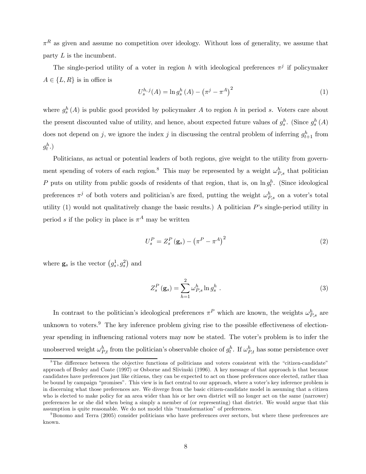$\pi^R$  as given and assume no competition over ideology. Without loss of generality, we assume that party  $L$  is the incumbent.

The single-period utility of a voter in region h with ideological preferences  $\pi^{j}$  if policymaker  $A \in \{L, R\}$  is in office is

$$
U_s^{h,j}(A) = \ln g_s^h(A) - (\pi^j - \pi^A)^2
$$
\n(1)

where  $g_s^h(A)$  is public good provided by policymaker A to region h in period s. Voters care about the present discounted value of utility, and hence, about expected future values of  $g_s^h$ . (Since  $g_s^h(A)$ ) does not depend on j, we ignore the index j in discussing the central problem of inferring  $g_{t+1}^h$  from  $g_t^h$ .)

Politicians, as actual or potential leaders of both regions, give weight to the utility from government spending of voters of each region.<sup>8</sup> This may be represented by a weight  $\omega_{P,s}^h$  that politician P puts on utility from public goods of residents of that region, that is, on  $\ln g_t^h$ . (Since ideological preferences  $\pi^j$  of both voters and politician's are fixed, putting the weight  $\omega_{P,s}^h$  on a voter's total utility  $(1)$  would not qualitatively change the basic results.) A politician P's single-period utility in period s if the policy in place is  $\pi^A$  may be written

$$
U_s^P = Z_s^P \left( \mathbf{g}_s \right) - \left( \pi^P - \pi^A \right)^2 \tag{2}
$$

where  $\mathbf{g}_s$  is the vector  $(g_s^1, g_s^2)$  and

$$
Z_s^P\left(\mathbf{g}_s\right) = \sum_{h=1}^2 \omega_{P,s}^h \ln g_s^h \tag{3}
$$

In contrast to the politician's ideological preferences  $\pi^P$  which are known, the weights  $\omega_{P,s}^h$  are unknown to voters.<sup>9</sup> The key inference problem giving rise to the possible effectiveness of electionyear spending in influencing rational voters may now be stated. The voter's problem is to infer the unobserved weight  $\omega_{P,t}^h$  from the politician's observable choice of  $g_t^h$ . If  $\omega_{P,t}^h$  has some persistence over

<sup>&</sup>lt;sup>8</sup>The difference between the objective functions of politicians and voters consistent with the "citizen-candidate" approach of Besley and Coate (1997) or Osborne and Slivinski (1996). A key message of that approach is that because candidates have preferences just like citizens, they can be expected to act on those preferences once elected, rather than be bound by campaign "promises". This view is in fact central to our approach, where a voter's key inference problem is in discerning what those preferences are. We diverge from the basic citizen-candidate model in assuming that a citizen who is elected to make policy for an area wider than his or her own district will no longer act on the same (narrower) preferences he or she did when being a simply a member of (or representing) that district. We would argue that this assumption is quite reasonable. We do not model this "transformation" of preferences.

<sup>9</sup>Bonomo and Terra (2005) consider politicians who have preferences over sectors, but where these preferences are known.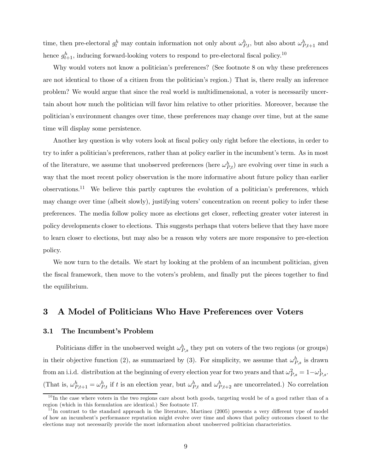time, then pre-electoral  $g_t^h$  may contain information not only about  $\omega_{P,t}^h$ , but also about  $\omega_{P,t+1}^h$  and hence  $g_{t+1}^h$ , inducing forward-looking voters to respond to pre-electoral fiscal policy.<sup>10</sup>

Why would voters not know a politician's preferences? (See footnote 8 on why these preferences are not identical to those of a citizen from the politician's region.) That is, there really an inference problem? We would argue that since the real world is multidimensional, a voter is necessarily uncertain about how much the politician will favor him relative to other priorities. Moreover, because the politician's environment changes over time, these preferences may change over time, but at the same time will display some persistence.

Another key question is why voters look at fiscal policy only right before the elections, in order to try to infer a politician's preferences, rather than at policy earlier in the incumbent's term. As in most of the literature, we assume that unobserved preferences (here  $\omega_{P,t}^h$ ) are evolving over time in such a way that the most recent policy observation is the more informative about future policy than earlier observations.11 We believe this partly captures the evolution of a politician's preferences, which may change over time (albeit slowly), justifying voters' concentration on recent policy to infer these preferences. The media follow policy more as elections get closer, reflecting greater voter interest in policy developments closer to elections. This suggests perhaps that voters believe that they have more to learn closer to elections, but may also be a reason why voters are more responsive to pre-election policy.

We now turn to the details. We start by looking at the problem of an incumbent politician, given the fiscal framework, then move to the voters's problem, and finally put the pieces together to find the equilibrium.

## 3 A Model of Politicians Who Have Preferences over Voters

#### 3.1 The Incumbent's Problem

Politicians differ in the unobserved weight  $\omega_{P,s}^h$  they put on voters of the two regions (or groups) in their objective function (2), as summarized by (3). For simplicity, we assume that  $\omega_{P,s}^h$  is drawn from an i.i.d. distribution at the beginning of every election year for two years and that  $\omega_{P,s}^2 = 1 - \omega_{P,s}^1$ . (That is,  $\omega_{P,t+1}^h = \omega_{P,t}^h$  if t is an election year, but  $\omega_{P,t}^h$  and  $\omega_{P,t+2}^h$  are uncorrelated.) No correlation

 $10$ In the case where voters in the two regions care about both goods, targeting would be of a good rather than of a region (which in this formulation are identical.) See footnote 17.

 $11$ In contrast to the standard approach in the literature, Martinez (2005) presents a very different type of model of how an incumbent's performance reputation might evolve over time and shows that policy outcomes closest to the elections may not necessarily provide the most information about unobserved politician characteristics.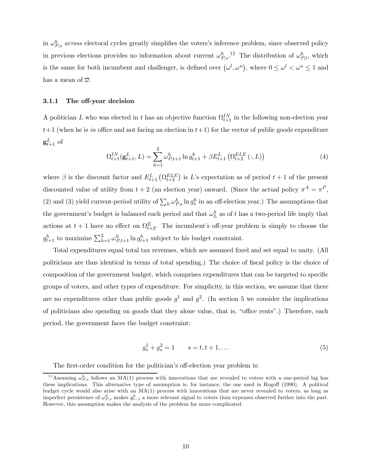in  $\omega_{P,s}^h$  across electoral cycles greatly simplifies the voters's inference problem, since observed policy in previous elections provides no information about current  $\omega_{P,s}^h$ <sup>12</sup>. The distribution of  $\omega_{P,t}^h$ , which is the same for both incumbent and challenger, is defined over  $(\omega^l, \omega^u)$ , where  $0 \le \omega^l < \omega^u \le 1$  and has a mean of  $\overline{\omega}$ .

#### 3.1.1 The off-year decision

A politician L who was elected in t has an objective function  $\Omega_{t+1}^{IN}$  in the following non-election year  $t+1$  (when he is in office and not facing an election in  $t+1$ ) for the vector of public goods expenditure  $\operatorname{g}_{t+1}^L$  of

$$
\Omega_{t+1}^{IN}(\mathbf{g}_{t+1}^{L}, L) = \sum_{h=1}^{2} \omega_{P,t+1}^{h} \ln g_{t+1}^{h} + \beta E_{t+1}^{L} \left( \Omega_{t+2}^{ELE} \left( \cdot, L \right) \right)
$$
(4)

where  $\beta$  is the discount factor and  $E_{t+1}^L(\Omega_{t+2}^{ELE})$  is L's expectation as of period  $t+1$  of the present discounted value of utility from  $t + 2$  (an election year) onward. (Since the actual policy  $\pi^A = \pi^P$ , (2) and (3) yield current-period utility of  $\sum_h \omega_{P,s}^h \ln g_s^h$  in an off-election year.) The assumptions that the government's budget is balanced each period and that  $\omega_L^h$  as of t has a two-period life imply that actions at  $t + 1$  have no effect on  $\Omega_{t+2}^E$ . The incumbent's off-year problem is simply to choose the  $g_{t+1}^h$  to maximize  $\sum_{h=1}^2 \omega_{P,t+1}^h \ln g_{t+1}^h$  subject to his budget constraint.

Total expenditures equal total tax revenues, which are assumed fixed and set equal to unity. (All politicians are thus identical in terms of total spending.) The choice of fiscal policy is the choice of composition of the government budget, which comprises expenditures that can be targeted to specific groups of voters, and other types of expenditure. For simplicity, in this section, we assume that there are no expenditures other than public goods  $g^1$  and  $g^2$ . (In section 5 we consider the implications of politicians also spending on goods that they alone value, that is, "office rents".) Therefore, each period, the government faces the budget constraint:

$$
g_s^1 + g_s^2 = 1 \qquad s = t, t + 1, \dots \tag{5}
$$

The first-order condition for the politician's off-election year problem is:

<sup>&</sup>lt;sup>12</sup> Assuming  $\omega_{P,s}^h$  follows an MA(1) process with innovations that are revealed to voters with a one-period lag has these implications. This alternative type of assumption is, for instance, the one used in Rogoff (1990). A political budget cycle would also arise with an MA(1) process with innovations that are never revealed to voters, as long as imperfect persistence of  $\omega_{P,s}^h$  makes  $g_{t-1}^h$  a more relevant signal to voters than expenses observed further into the past. However, this assumption makes the analysis of the problem far more complicated.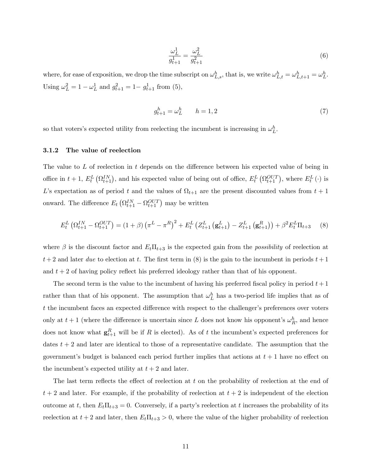$$
\frac{\omega_L^1}{g_{t+1}^1} = \frac{\omega_L^2}{g_{t+1}^2} \tag{6}
$$

where, for ease of exposition, we drop the time subscript on  $\omega_{L,s}^h$ , that is, we write  $\omega_{L,t}^h = \omega_{L,t+1}^h = \omega_L^h$ . Using  $\omega_L^2 = 1 - \omega_L^1$  and  $g_{t+1}^2 = 1 - g_{t+1}^1$  from (5),

$$
g_{t+1}^h = \omega_L^h \qquad h = 1,2 \tag{7}
$$

so that voters's expected utility from reelecting the incumbent is increasing in  $\omega_L^h$ .

#### 3.1.2 The value of reelection

The value to L of reelection in t depends on the difference between his expected value of being in office in  $t + 1$ ,  $E_t^L(\Omega_{t+1}^{IN})$ , and his expected value of being out of office,  $E_t^L(\Omega_{t+1}^{OUT})$ , where  $E_t^L(\cdot)$  is L's expectation as of period t and the values of  $\Omega_{t+1}$  are the present discounted values from  $t+1$ onward. The difference  $E_t \left( \Omega_{t+1}^{IN} - \Omega_{t+1}^{OUT} \right)$  may be written

$$
E_t^L \left( \Omega_{t+1}^{IN} - \Omega_{t+1}^{OUT} \right) = (1+\beta) \left( \pi^L - \pi^R \right)^2 + E_t^L \left( Z_{t+1}^L \left( \mathbf{g}_{t+1}^L \right) - Z_{t+1}^L \left( \mathbf{g}_{t+1}^R \right) \right) + \beta^2 E_t^L \Pi_{t+3} \tag{8}
$$

where  $\beta$  is the discount factor and  $E_t\Pi_{t+3}$  is the expected gain from the *possibility* of reelection at  $t+2$  and later due to election at t. The first term in (8) is the gain to the incumbent in periods  $t+1$ and  $t + 2$  of having policy reflect his preferred ideology rather than that of his opponent.

The second term is the value to the incumbent of having his preferred fiscal policy in period  $t+1$ rather than that of his opponent. The assumption that  $\omega_L^h$  has a two-period life implies that as of t the incumbent faces an expected difference with respect to the challenger's preferences over voters only at  $t + 1$  (where the difference is uncertain since L does not know his opponent's  $\omega_R^h$ , and hence does not know what  $\mathbf{g}_{t+1}^R$  will be if R is elected). As of t the incumbent's expected preferences for dates  $t + 2$  and later are identical to those of a representative candidate. The assumption that the government's budget is balanced each period further implies that actions at  $t + 1$  have no effect on the incumbent's expected utility at  $t + 2$  and later.

The last term reflects the effect of reelection at t on the probability of reelection at the end of  $t + 2$  and later. For example, if the probability of reelection at  $t + 2$  is independent of the election outcome at t, then  $E_t\Pi_{t+3} = 0$ . Conversely, if a party's reelection at t increases the probability of its reelection at  $t + 2$  and later, then  $E_t \Pi_{t+3} > 0$ , where the value of the higher probability of reelection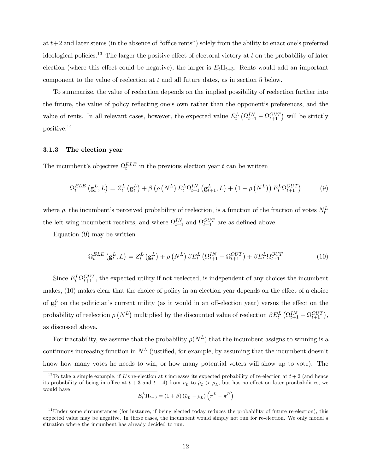at  $t+2$  and later stems (in the absence of "office rents") solely from the ability to enact one's preferred ideological policies.<sup>13</sup> The larger the positive effect of electoral victory at t on the probability of later election (where this effect could be negative), the larger is  $E_t\Pi_{t+3}$ . Rents would add an important component to the value of reelection at t and all future dates, as in section 5 below.

To summarize, the value of reelection depends on the implied possibility of reelection further into the future, the value of policy reflecting one's own rather than the opponent's preferences, and the value of rents. In all relevant cases, however, the expected value  $E_t^L \left( \Omega_{t+1}^{IN} - \Omega_{t+1}^{OUT} \right)$  will be strictly positive.14

#### 3.1.3 The election year

The incumbent's objective  $\Omega_t^{ELE}$  in the previous election year t can be written

$$
\Omega_t^{ELE} \left( \mathbf{g}_t^L, L \right) = Z_t^L \left( \mathbf{g}_t^L \right) + \beta \left( \rho \left( N^L \right) E_t^L \Omega_{t+1}^{IN} \left( \mathbf{g}_{t+1}^L, L \right) + \left( 1 - \rho \left( N^L \right) \right) E_t^L \Omega_{t+1}^{OUT} \right) \tag{9}
$$

where  $\rho$ , the incumbent's perceived probability of reelection, is a function of the fraction of votes  $N_t^L$ the left-wing incumbent receives, and where  $\Omega_{t+1}^{IN}$  and  $\Omega_{t+1}^{OUT}$  are as defined above.

Equation (9) may be written

$$
\Omega_t^{ELE} \left( \mathbf{g}_t^L, L \right) = Z_t^L \left( \mathbf{g}_t^L \right) + \rho \left( N^L \right) \beta E_t^L \left( \Omega_{t+1}^{IN} - \Omega_{t+1}^{OUT} \right) + \beta E_t^L \Omega_{t+1}^{OUT} \tag{10}
$$

Since  $E_t^L \Omega_{t+1}^{OUT}$ , the expected utility if not reelected, is independent of any choices the incumbent makes, (10) makes clear that the choice of policy in an election year depends on the effect of a choice of  $g_t^L$  on the politician's current utility (as it would in an off-election year) versus the effect on the probability of reelection  $\rho(N^L)$  multiplied by the discounted value of reelection  $\beta E_t^L ( \Omega_{t+1}^{IN} - \Omega_{t+1}^{OUT}),$ as discussed above.

For tractability, we assume that the probability  $\rho(N^L)$  that the incumbent assigns to winning is a continuous increasing function in  $N^L$  (justified, for example, by assuming that the incumbent doesn't know how many votes he needs to win, or how many potential voters will show up to vote). The

$$
E_t^L \Pi_{t+3} = (1+\beta) (\hat{\rho}_L - \rho_L) (\pi^L - \pi^R)
$$

<sup>&</sup>lt;sup>13</sup>To take a simple example, if L's re-election at t increases its expected probability of re-election at  $t + 2$  (and hence its probability of being in office at  $t + 3$  and  $t + 4$ ) from  $\rho_L$  to  $\rho_L > \rho_L$ , but has no effect on later proababilities, we would have

 $14$ Under some circumstances (for instance, if being elected today reduces the probability of future re-election), this expected value may be negative. In those cases, the incumbent would simply not run for re-election. We only model a situation where the incumbent has already decided to run.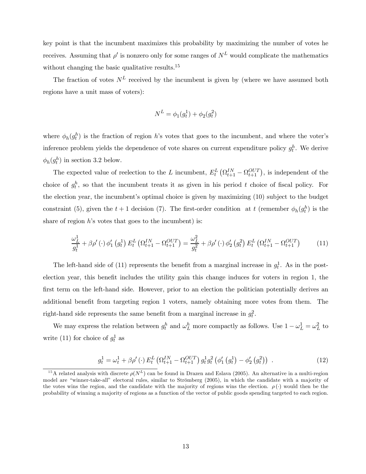key point is that the incumbent maximizes this probability by maximizing the number of votes he receives. Assuming that  $\rho'$  is nonzero only for some ranges of  $N^L$  would complicate the mathematics without changing the basic qualitative results. $15$ 

The fraction of votes  $N^L$  received by the incumbent is given by (where we have assumed both regions have a unit mass of voters):

$$
N^{L} = \phi_1(g_t^1) + \phi_2(g_t^2)
$$

where  $\phi_h(g_t^h)$  is the fraction of region h's votes that goes to the incumbent, and where the voter's inference problem yields the dependence of vote shares on current expenditure policy  $g_t^h$ . We derive  $\phi_h(g_t^h)$  in section 3.2 below.

The expected value of reelection to the L incumbent,  $E_t^L(Q_{t+1}^{IN} - Q_{t+1}^{OUT})$ , is independent of the choice of  $g_t^h$ , so that the incumbent treats it as given in his period t choice of fiscal policy. For the election year, the incumbent's optimal choice is given by maximizing (10) subject to the budget constraint (5), given the  $t + 1$  decision (7). The first-order condition at t (remember  $\phi_h(g_t^h)$  is the share of region  $h$ 's votes that goes to the incumbent) is:

$$
\frac{\omega_L^1}{g_t^1} + \beta \rho'(\cdot) \phi_1' \left(g_t^1\right) E_t^L \left(\Omega_{t+1}^{IN} - \Omega_{t+1}^{OUT}\right) = \frac{\omega_L^2}{g_t^2} + \beta \rho'(\cdot) \phi_2' \left(g_t^2\right) E_t^L \left(\Omega_{t+1}^{IN} - \Omega_{t+1}^{OUT}\right) \tag{11}
$$

The left-hand side of (11) represents the benefit from a marginal increase in  $g_t^1$ . As in the postelection year, this benefit includes the utility gain this change induces for voters in region 1, the first term on the left-hand side. However, prior to an election the politician potentially derives an additional benefit from targeting region 1 voters, namely obtaining more votes from them. The right-hand side represents the same benefit from a marginal increase in  $g_t^2$ .

We may express the relation between  $g_t^h$  and  $\omega_L^h$  more compactly as follows. Use  $1 - \omega_L^1 = \omega_L^2$  to write (11) for choice of  $g_t^1$  as

$$
g_t^1 = \omega_t^1 + \beta \rho'(\cdot) E_t^L \left( \Omega_{t+1}^{IN} - \Omega_{t+1}^{OUT} \right) g_t^1 g_t^2 \left( \phi_1' \left( g_t^1 \right) - \phi_2' \left( g_t^2 \right) \right) \tag{12}
$$

<sup>&</sup>lt;sup>15</sup>A related analysis with discrete  $\rho(N^L)$  can be found in Drazen and Eslava (2005). An alternative in a multi-region model are "winner-take-all" electoral rules, similar to Strömberg (2005), in which the candidate with a majority of the votes wins the region, and the candidate with the majority of regions wins the election.  $\rho(\cdot)$  would then be the probability of winning a majority of regions as a function of the vector of public goods spending targeted to each region.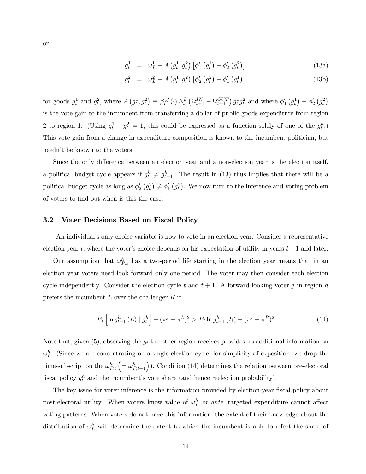$$
g_t^1 = \omega_L^1 + A(g_t^1, g_t^2) \left[ \phi_1' (g_t^1) - \phi_2' (g_t^2) \right]
$$
 (13a)

$$
g_t^2 = \omega_L^2 + A(g_t^1, g_t^2) [\phi_2'(g_t^2) - \phi_1'(g_t^1)] \tag{13b}
$$

for goods  $g_t^1$  and  $g_t^2$ , where  $A(g_t^1, g_t^2) \equiv \beta \rho'(\cdot) E_t^L (\Omega_{t+1}^{IN} - \Omega_{t+1}^{OUT}) g_t^1 g_t^2$  and where  $\phi'_1(g_t^1) - \phi'_2(g_t^2)$ is the vote gain to the incumbent from transferring a dollar of public goods expenditure from region 2 to region 1. (Using  $g_t^1 + g_t^2 = 1$ , this could be expressed as a function solely of one of the  $g_t^h$ .) This vote gain from a change in expenditure composition is known to the incumbent politician, but needn't be known to the voters.

Since the only difference between an election year and a non-election year is the election itself, a political budget cycle appears if  $g_t^h \neq g_{t+1}^h$ . The result in (13) thus implies that there will be a political budget cycle as long as  $\phi'_2(g_t^2) \neq \phi'_1(g_t^1)$ . We now turn to the inference and voting problem of voters to find out when is this the case.

#### 3.2 Voter Decisions Based on Fiscal Policy

An individual's only choice variable is how to vote in an election year. Consider a representative election year t, where the voter's choice depends on his expectation of utility in years  $t + 1$  and later.

Our assumption that  $\omega_{P,s}^h$  has a two-period life starting in the election year means that in an election year voters need look forward only one period. The voter may then consider each election cycle independently. Consider the election cycle t and  $t + 1$ . A forward-looking voter j in region h prefers the incumbent  $L$  over the challenger  $R$  if

$$
E_t \left[ \ln g_{t+1}^h \left( L \right) \mid g_t^h \right] - (\pi^j - \pi^L)^2 > E_t \ln g_{t+1}^h \left( R \right) - (\pi^j - \pi^R)^2 \tag{14}
$$

Note that, given  $(5)$ , observing the  $g_t$  the other region receives provides no additional information on  $\omega_L^h$ . (Since we are concentrating on a single election cycle, for simplicity of exposition, we drop the time-subscript on the  $\omega_{P,t}^h$   $\left(=\omega_{P,t+1}^h\right)$ . Condition (14) determines the relation between pre-electoral fiscal policy  $g_t^h$  and the incumbent's vote share (and hence reelection probability).

The key issue for voter inference is the information provided by election-year fiscal policy about post-electoral utility. When voters know value of  $\omega_L^h$  ex ante, targeted expenditure cannot affect voting patterns. When voters do not have this information, the extent of their knowledge about the distribution of  $\omega_L^h$  will determine the extent to which the incumbent is able to affect the share of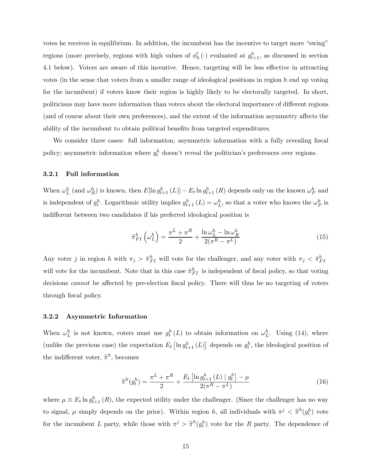votes he receives in equilibrium. In addition, the incumbent has the incentive to target more "swing" regions (more precisely, regions with high values of  $\phi'_h(\cdot)$  evaluated at  $g_{t+1}^h$ , as discussed in section 4.1 below). Voters are aware of this incentive. Hence, targeting will be less effective in attracting votes (in the sense that voters from a smaller range of ideological positions in region  $h$  end up voting for the incumbent) if voters know their region is highly likely to be electorally targeted. In short, politicians may have more information than voters about the electoral importance of different regions (and of course about their own preferences), and the extent of the information asymmetry affects the ability of the incumbent to obtain political benefits from targeted expenditures.

We consider three cases: full information; asymmetric information with a fully revealing fiscal policy; asymmetric information where  $g_t^h$  doesn't reveal the politician's preferences over regions.

#### 3.2.1 Full information

When  $\omega_L^h$  (and  $\omega_R^h$ ) is known, then  $E[\ln g_{t+1}^h (L)] - E_t \ln g_{t+1}^h (R)$  depends only on the known  $\omega_P^h$  and is independent of  $g_t^h$ . Logarithmic utility implies  $g_{t+1}^h(L) = \omega_L^h$ , so that a voter who knows the  $\omega_P^h$  is indifferent between two candidates if his preferred ideological position is

$$
\tilde{\pi}_{FI}^{h}\left(\omega_{L}^{h}\right) = \frac{\pi^{L} + \pi^{R}}{2} + \frac{\ln \omega_{L}^{h} - \ln \omega_{R}^{h}}{2(\pi^{R} - \pi^{L})}
$$
\n(15)

Any voter j in region h with  $\pi_j > \tilde{\pi}_{FI}^h$  will vote for the challenger, and any voter with  $\pi_j < \tilde{\pi}_{FI}^h$ will vote for the incumbent. Note that in this case  $\tilde{\pi}_{FI}^{h}$  is independent of fiscal policy, so that voting decisions *cannot* be affected by pre-election fiscal policy. There will thus be no targeting of voters through fiscal policy.

#### 3.2.2 Asymmetric Information

When  $\omega_L^h$  is not known, voters must use  $g_t^h(L)$  to obtain information on  $\omega_L^h$ . Using (14), where (unlike the previous case) the expectation  $E_t\left[\ln g_{t+1}^h (L)\right]$  depends on  $g_t^h$ , the ideological position of the indifferent voter,  $\tilde{\pi}^h$ , becomes

$$
\widetilde{\pi}^{h}(g_{t}^{h}) = \frac{\pi^{L} + \pi^{R}}{2} + \frac{E_{t} \left[ \ln g_{t+1}^{h}(L) \mid g_{t}^{h} \right] - \mu}{2(\pi^{R} - \pi^{L})}
$$
(16)

where  $\mu \equiv E_t \ln g_{t+1}^h(R)$ , the expected utility under the challenger. (Since the challenger has no way to signal,  $\mu$  simply depends on the prior). Within region h, all individuals with  $\pi^j < \tilde{\pi}^h(g_t^h)$  vote for the incumbent L party, while those with  $\pi^j > \tilde{\pi}^h(g_t^h)$  vote for the R party. The dependence of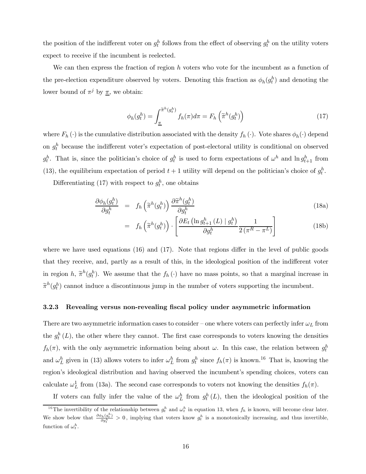the position of the indifferent voter on  $g_t^h$  follows from the effect of observing  $g_t^h$  on the utility voters expect to receive if the incumbent is reelected.

We can then express the fraction of region  $h$  voters who vote for the incumbent as a function of the pre-election expenditure observed by voters. Denoting this fraction as  $\phi_h(g_t^h)$  and denoting the lower bound of  $\pi^j$  by  $\underline{\pi}$ , we obtain:

$$
\phi_h(g_t^h) = \int_{\underline{\pi}}^{\widetilde{\pi}^h(g_t^h)} f_h(\pi) d\pi = F_h\left(\widetilde{\pi}^h(g_t^h)\right)
$$
\n(17)

where  $F_h(\cdot)$  is the cumulative distribution associated with the density  $f_h(\cdot)$ . Vote shares  $\phi_h(\cdot)$  depend on  $g_t^h$  because the indifferent voter's expectation of post-electoral utility is conditional on observed  $g_t^h$ . That is, since the politician's choice of  $g_t^h$  is used to form expectations of  $\omega^h$  and  $\ln g_{t+1}^h$  from (13), the equilibrium expectation of period  $t + 1$  utility will depend on the politician's choice of  $g_t^h$ .

Differentiating (17) with respect to  $g_t^h$ , one obtains

$$
\frac{\partial \phi_h(g_t^h)}{\partial g_t^h} = f_h\left(\tilde{\pi}^h(g_t^h)\right) \frac{\partial \tilde{\pi}^h(g_t^h)}{\partial g_t^h} \tag{18a}
$$

$$
= f_h\left(\widetilde{\pi}^h(g_t^h)\right) \cdot \left[\frac{\partial E_t\left(\ln g_{t+1}^h\left(L\right) \mid g_t^h\right)}{\partial g_t^h} \frac{1}{2\left(\pi^R - \pi^L\right)}\right] \tag{18b}
$$

where we have used equations (16) and (17). Note that regions differ in the level of public goods that they receive, and, partly as a result of this, in the ideological position of the indifferent voter in region h,  $\tilde{\pi}^h(g_t^h)$ . We assume that the  $f_h(\cdot)$  have no mass points, so that a marginal increase in  $\tilde{\pi}^h(g_t^h)$  cannot induce a discontinuous jump in the number of voters supporting the incumbent.

#### 3.2.3 Revealing versus non-revealing fiscal policy under asymmetric information

There are two asymmetric information cases to consider – one where voters can perfectly infer  $\omega_L$  from the  $g_t^h(L)$ , the other where they cannot. The first case corresponds to voters knowing the densities  $f_h(\pi)$ , with the only asymmetric information being about  $\omega$ . In this case, the relation between  $g_t^h$ and  $\omega_L^h$  given in (13) allows voters to infer  $\omega_L^h$  from  $g_t^h$  since  $f_h(\pi)$  is known.<sup>16</sup> That is, knowing the region's ideological distribution and having observed the incumbent's spending choices, voters can calculate  $\omega_L^1$  from (13a). The second case corresponds to voters not knowing the densities  $f_h(\pi)$ .

If voters can fully infer the value of the  $\omega_L^h$  from  $g_t^h(L)$ , then the ideological position of the

<sup>&</sup>lt;sup>16</sup>The invertibility of the relationship between  $g_t^h$  and  $\omega_t^h$  in equation 13, when  $f_h$  is known, will become clear later. We show below that  $\frac{\partial \phi_h(g_t^h)}{\partial g_t^h} > 0$ , implying that voters know  $g_t^h$  is a monotonically increasing, and thus invertible, function of  $\omega_t^h$ .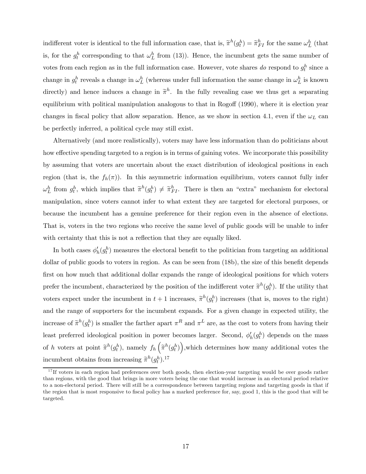indifferent voter is identical to the full information case, that is,  $\tilde{\pi}^h(g_t^h) = \tilde{\pi}_{FI}^h$  for the same  $\omega_L^h$  (that is, for the  $g_t^h$  corresponding to that  $\omega_L^h$  from (13)). Hence, the incumbent gets the same number of votes from each region as in the full information case. However, vote shares do respond to  $g_t^h$  since a change in  $g_t^h$  reveals a change in  $\omega_L^h$  (whereas under full information the same change in  $\omega_L^h$  is known directly) and hence induces a change in  $\tilde{\pi}^h$ . In the fully revealing case we thus get a separating equilibrium with political manipulation analogous to that in Rogoff (1990), where it is election year changes in fiscal policy that allow separation. Hence, as we show in section 4.1, even if the  $\omega_L$  can be perfectly inferred, a political cycle may still exist.

Alternatively (and more realistically), voters may have less information than do politicians about how effective spending targeted to a region is in terms of gaining votes. We incorporate this possibility by assuming that voters are uncertain about the exact distribution of ideological positions in each region (that is, the  $f_h(\pi)$ ). In this asymmetric information equilibrium, voters cannot fully infer  $\omega_L^h$  from  $g_t^h$ , which implies that  $\tilde{\pi}^h(g_t^h) \neq \tilde{\pi}_{FI}^h$ . There is then an "extra" mechanism for electoral manipulation, since voters cannot infer to what extent they are targeted for electoral purposes, or because the incumbent has a genuine preference for their region even in the absence of elections. That is, voters in the two regions who receive the same level of public goods will be unable to infer with certainty that this is not a reflection that they are equally liked.

In both cases  $\phi'_h(g_t^h)$  measures the electoral benefit to the politician from targeting an additional dollar of public goods to voters in region. As can be seen from (18b), the size of this benefit depends first on how much that additional dollar expands the range of ideological positions for which voters prefer the incumbent, characterized by the position of the indifferent voter  $\tilde{\pi}^h(g_t^h)$ . If the utility that voters expect under the incumbent in  $t + 1$  increases,  $\tilde{\pi}^h(g_t^h)$  increases (that is, moves to the right) and the range of supporters for the incumbent expands. For a given change in expected utility, the increase of  $\tilde{\pi}^h(g_t^h)$  is smaller the farther apart  $\pi^R$  and  $\pi^L$  are, as the cost to voters from having their least preferred ideological position in power becomes larger. Second,  $\phi'_h(g_t^h)$  depends on the mass of h voters at point  $\tilde{\pi}^h(g_t^h)$ , namely  $f_h\left(\tilde{\pi}^h(g_t^h)\right)$ , which determines how many additional votes the incumbent obtains from increasing  $\tilde{\pi}^h(g_t^h)$ .<sup>17</sup>

 $17$  If voters in each region had preferences over both goods, then election-year targeting would be over goods rather than regions, with the good that brings in more voters being the one that would increase in an electoral period relative to a non-electoral period. There will still be a correspondence between targeting regions and targeting goods in that if the region that is most responsive to fiscal policy has a marked preference for, say, good 1, this is the good that will be targeted.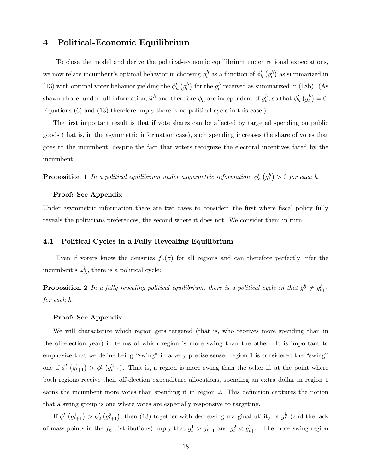## 4 Political-Economic Equilibrium

To close the model and derive the political-economic equilibrium under rational expectations, we now relate incumbent's optimal behavior in choosing  $g_t^h$  as a function of  $\phi'_h(g_t^h)$  as summarized in (13) with optimal voter behavior yielding the  $\phi'_h$   $(g_t^h)$  for the  $g_t^h$  received as summarized in (18b). (As shown above, under full information,  $\tilde{\pi}^h$  and therefore  $\phi_h$  are independent of  $g_t^h$ , so that  $\phi'_h(g_t^h) = 0$ . Equations (6) and (13) therefore imply there is no political cycle in this case.)

The first important result is that if vote shares can be affected by targeted spending on public goods (that is, in the asymmetric information case), such spending increases the share of votes that goes to the incumbent, despite the fact that voters recognize the electoral incentives faced by the incumbent.

**Proposition 1** In a political equilibrium under asymmetric information,  $\phi'_h(g^h_t) > 0$  for each h.

#### Proof: See Appendix

Under asymmetric information there are two cases to consider: the first where fiscal policy fully reveals the politicians preferences, the second where it does not. We consider them in turn.

#### 4.1 Political Cycles in a Fully Revealing Equilibrium

Even if voters know the densities  $f_h(\pi)$  for all regions and can therefore perfectly infer the incumbent's  $\omega_L^h$ , there is a political cycle:

**Proposition 2** In a fully revealing political equilibrium, there is a political cycle in that  $g_t^h \neq g_{t+1}^h$ for each h.

#### Proof: See Appendix

We will characterize which region gets targeted (that is, who receives more spending than in the off-election year) in terms of which region is more swing than the other. It is important to emphasize that we define being "swing" in a very precise sense: region 1 is considered the "swing" one if  $\phi'_1(g_{t+1}^1) > \phi'_2(g_{t+1}^2)$ . That is, a region is more swing than the other if, at the point where both regions receive their off-election expenditure allocations, spending an extra dollar in region 1 earns the incumbent more votes than spending it in region 2. This definition captures the notion that a swing group is one where votes are especially responsive to targeting.

If  $\phi'_1(g_{t+1}^1) > \phi'_2(g_{t+1}^2)$ , then (13) together with decreasing marginal utility of  $g_t^h$  (and the lack of mass points in the  $f_h$  distributions) imply that  $g_t^1 > g_{t+1}^1$  and  $g_t^2 < g_{t+1}^2$ . The more swing region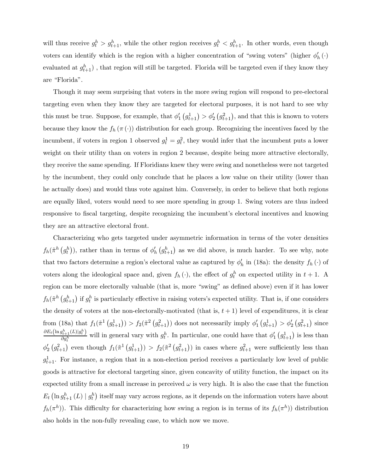will thus receive  $g_t^h > g_{t+1}^h$ , while the other region receives  $g_t^h < g_{t+1}^h$ . In other words, even though voters can identify which is the region with a higher concentration of "swing voters" (higher  $\phi'_h(\cdot)$ evaluated at  $g_{t+1}^h$ ), that region will still be targeted. Florida will be targeted even if they know they are "Florida".

Though it may seem surprising that voters in the more swing region will respond to pre-electoral targeting even when they know they are targeted for electoral purposes, it is not hard to see why this must be true. Suppose, for example, that  $\phi'_1(g_{t+1}^1) > \phi'_2(g_{t+1}^2)$ , and that this is known to voters because they know the  $f_h(\pi(\cdot))$  distribution for each group. Recognizing the incentives faced by the incumbent, if voters in region 1 observed  $g_t^1 = g_t^2$ , they would infer that the incumbent puts a lower weight on their utility than on voters in region 2 because, despite being more attractive electorally, they receive the same spending. If Floridians knew they were swing and nonetheless were not targeted by the incumbent, they could only conclude that he places a low value on their utility (lower than he actually does) and would thus vote against him. Conversely, in order to believe that both regions are equally liked, voters would need to see more spending in group 1. Swing voters are thus indeed responsive to fiscal targeting, despite recognizing the incumbent's electoral incentives and knowing they are an attractive electoral front.

Characterizing who gets targeted under asymmetric information in terms of the voter densities  $f_h(\tilde{\pi}^h(g_t^h))$ , rather than in terms of  $\phi'_h(g_{t+1}^h)$  as we did above, is much harder. To see why, note that two factors determine a region's electoral value as captured by  $\phi'_h$  in (18a): the density  $f_h(\cdot)$  of voters along the ideological space and, given  $f_h(\cdot)$ , the effect of  $g_t^h$  on expected utility in  $t + 1$ . A region can be more electorally valuable (that is, more "swing" as defined above) even if it has lower  $f_h(\tilde{\pi}^h(g_{t+1}^h)$  if  $g_t^h$  is particularly effective in raising voters's expected utility. That is, if one considers the density of voters at the non-electorally-motivated (that is,  $t + 1$ ) level of expenditures, it is clear from (18a) that  $f_1(\tilde{\pi}^1(g_{t+1}^1)) > f_2(\tilde{\pi}^2(g_{t+1}^2))$  does not necessarily imply  $\phi'_1(g_{t+1}^1) > \phi'_2(g_{t+1}^2)$  since  $\partial E_t\bigl(\ln g_{t+1}^h(L)|g_t^h\bigr)$  $\frac{g_{t+1}^{\mu}(L)|g_t^{\mu}}{g_{t}}$  will in general vary with  $g_t^h$ . In particular, one could have that  $\phi'_1(g_{t+1}^1)$  is less than  $\phi_2'$   $(g_{t+1}^2)$  even though  $f_1(\tilde{\pi}^1(g_{t+1}^1)) > f_2(\tilde{\pi}^2(g_{t+1}^2))$  in cases where  $g_{t+1}^2$  were sufficiently less than  $g_{t+1}^1$ . For instance, a region that in a non-election period receives a particularly low level of public goods is attractive for electoral targeting since, given concavity of utility function, the impact on its expected utility from a small increase in perceived  $\omega$  is very high. It is also the case that the function  $E_t\left(\ln g_{t+1}^h\left(L\right) \mid g_t^h\right)$  itself may vary across regions, as it depends on the information voters have about  $f_h(\pi^h)$ . This difficulty for characterizing how swing a region is in terms of its  $f_h(\pi^h)$  distribution also holds in the non-fully revealing case, to which now we move.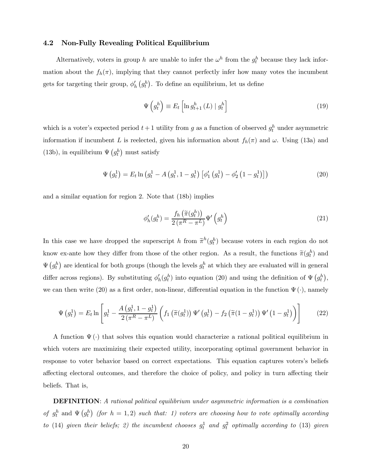## 4.2 Non-Fully Revealing Political Equilibrium

Alternatively, voters in group h are unable to infer the  $\omega^h$  from the  $g_t^h$  because they lack information about the  $f_h(\pi)$ , implying that they cannot perfectly infer how many votes the incumbent gets for targeting their group,  $\phi'_h(g_t^h)$ . To define an equilibrium, let us define

$$
\Psi\left(g_t^h\right) \equiv E_t \left[ \ln g_{t+1}^h\left(L\right) \mid g_t^h \right] \tag{19}
$$

which is a voter's expected period  $t+1$  utility from g as a function of observed  $g_t^h$  under asymmetric information if incumbent L is reelected, given his information about  $f_h(\pi)$  and  $\omega$ . Using (13a) and (13b), in equilibrium  $\Psi(g_t^h)$  must satisfy

$$
\Psi(g_t^1) = E_t \ln \left( g_t^1 - A \left( g_t^1, 1 - g_t^1 \right) \left[ \phi_1' \left( g_t^1 \right) - \phi_2' \left( 1 - g_t^1 \right) \right] \right) \tag{20}
$$

and a similar equation for region 2. Note that (18b) implies

$$
\phi'_h(g_t^h) = \frac{f_h\left(\widetilde{\pi}(g_t^h)\right)}{2\left(\pi^R - \pi^L\right)} \Psi'\left(g_t^h\right) \tag{21}
$$

In this case we have dropped the superscript h from  $\tilde{\pi}^h(g_t^h)$  because voters in each region do not know ex-ante how they differ from those of the other region. As a result, the functions  $\tilde{\pi}(g_t^h)$  and  $\Psi(g_t^h)$  are identical for both groups (though the levels  $g_t^h$  at which they are evaluated will in general differ across regions). By substituting  $\phi'_h(g_t^h)$  into equation (20) and using the definition of  $\Psi(g_t^h)$ , we can then write (20) as a first order, non-linear, differential equation in the function  $\Psi(\cdot)$ , namely

$$
\Psi\left(g_t^1\right) = E_t \ln \left[g_t^1 - \frac{A\left(g_t^1, 1 - g_t^1\right)}{2\left(\pi^R - \pi^L\right)} \left(f_1\left(\tilde{\pi}(g_t^1)\right) \Psi'\left(g_t^1\right) - f_2\left(\tilde{\pi}(1 - g_t^1)\right) \Psi'\left(1 - g_t^1\right)\right)\right]
$$
(22)

A function  $\Psi(\cdot)$  that solves this equation would characterize a rational political equilibrium in which voters are maximizing their expected utility, incorporating optimal government behavior in response to voter behavior based on correct expectations. This equation captures voters's beliefs affecting electoral outcomes, and therefore the choice of policy, and policy in turn affecting their beliefs. That is,

DEFINITION: A rational political equilibrium under asymmetric information is a combination of  $g_t^h$  and  $\Psi(g_t^h)$  (for  $h = 1, 2$ ) such that: 1) voters are choosing how to vote optimally according to (14) given their beliefs; 2) the incumbent chooses  $g_t^1$  and  $g_t^2$  optimally according to (13) given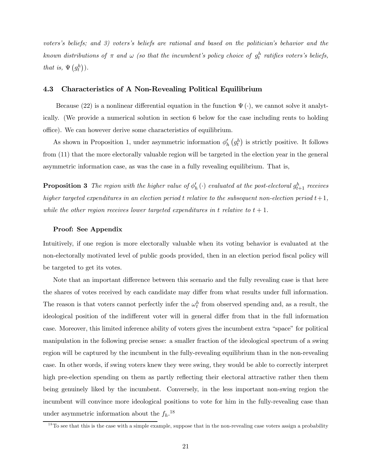voters's beliefs; and 3) voters's beliefs are rational and based on the politician's behavior and the known distributions of  $\pi$  and  $\omega$  (so that the incumbent's policy choice of  $g_t^h$  ratifies voters's beliefs, that is,  $\Psi(g_t^h)$ .

#### 4.3 Characteristics of A Non-Revealing Political Equilibrium

Because (22) is a nonlinear differential equation in the function  $\Psi(\cdot)$ , we cannot solve it analytically. (We provide a numerical solution in section 6 below for the case including rents to holding office). We can however derive some characteristics of equilibrium.

As shown in Proposition 1, under asymmetric information  $\phi'_h(g^h_t)$  is strictly positive. It follows from (11) that the more electorally valuable region will be targeted in the election year in the general asymmetric information case, as was the case in a fully revealing equilibrium. That is,

**Proposition 3** The region with the higher value of  $\phi'_h$  ( $\cdot$ ) evaluated at the post-electoral  $g^h_{t+1}$  receives higher targeted expenditures in an election period t relative to the subsequent non-election period  $t+1$ , while the other region receives lower targeted expenditures in t relative to  $t + 1$ .

#### Proof: See Appendix

Intuitively, if one region is more electorally valuable when its voting behavior is evaluated at the non-electorally motivated level of public goods provided, then in an election period fiscal policy will be targeted to get its votes.

Note that an important difference between this scenario and the fully revealing case is that here the shares of votes received by each candidate may differ from what results under full information. The reason is that voters cannot perfectly infer the  $\omega_t^h$  from observed spending and, as a result, the ideological position of the indifferent voter will in general differ from that in the full information case. Moreover, this limited inference ability of voters gives the incumbent extra "space" for political manipulation in the following precise sense: a smaller fraction of the ideological spectrum of a swing region will be captured by the incumbent in the fully-revealing equilibrium than in the non-revealing case. In other words, if swing voters knew they were swing, they would be able to correctly interpret high pre-election spending on them as partly reflecting their electoral attractive rather then them being genuinely liked by the incumbent. Conversely, in the less important non-swing region the incumbent will convince more ideological positions to vote for him in the fully-revealing case than under asymmetric information about the  $f_h$ .<sup>18</sup>

 $18$ To see that this is the case with a simple example, suppose that in the non-revealing case voters assign a probability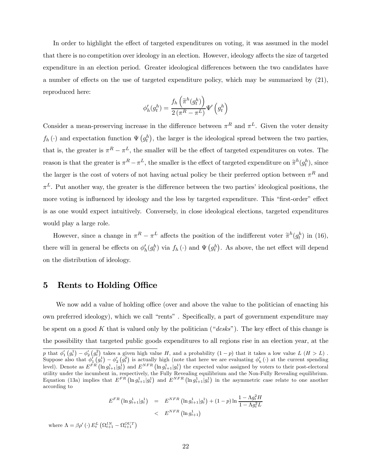In order to highlight the effect of targeted expenditures on voting, it was assumed in the model that there is no competition over ideology in an election. However, ideology affects the size of targeted expenditure in an election period. Greater ideological differences between the two candidates have a number of effects on the use of targeted expenditure policy, which may be summarized by (21), reproduced here:

$$
\phi_h'(g_t^h) = \frac{f_h\left(\widetilde{\pi}^h(g_t^h)\right)}{2\left(\pi^R-\pi^L\right)}\Psi'\left(g_t^h\right)
$$

Consider a mean-preserving increase in the difference between  $\pi^R$  and  $\pi^L$ . Given the voter density  $f_h(\cdot)$  and expectation function  $\Psi(g_t^h)$ , the larger is the ideological spread between the two parties, that is, the greater is  $\pi^R - \pi^L$ , the smaller will be the effect of targeted expenditures on votes. The reason is that the greater is  $\pi^R - \pi^L$ , the smaller is the effect of targeted expenditure on  $\tilde{\pi}^h(g_t^h)$ , since the larger is the cost of voters of not having actual policy be their preferred option between  $\pi^R$  and  $\pi^L$ . Put another way, the greater is the difference between the two parties' ideological positions, the more voting is influenced by ideology and the less by targeted expenditure. This "first-order" effect is as one would expect intuitively. Conversely, in close ideological elections, targeted expenditures would play a large role.

However, since a change in  $\pi^R - \pi^L$  affects the position of the indifferent voter  $\tilde{\pi}^h(g_t^h)$  in (16), there will in general be effects on  $\phi'_h(g^h_t)$  via  $f_h(\cdot)$  and  $\Psi(g^h_t)$ . As above, the net effect will depend on the distribution of ideology.

## 5 Rents to Holding Office

We now add a value of holding office (over and above the value to the politician of enacting his own preferred ideology), which we call "rents" . Specifically, a part of government expenditure may be spent on a good K that is valued only by the politician (" $\text{de}$ sks"). The key effect of this change is the possibility that targeted public goods expenditures to all regions rise in an election year, at the

$$
E^{FR} \left( \ln g_{t+1}^1 | g_t^1 \right) = E^{NFR} \left( \ln g_{t+1}^1 | g_t^1 \right) + (1-p) \ln \frac{1 - \Lambda g_t^2 H}{1 - \Lambda g_t^2 L}
$$
  
< 
$$
E^{NFR} \left( \ln g_{t+1}^1 \right)
$$

where  $\Lambda = \beta \rho' \left( \cdot \right) E_t^L \left( \Omega_{t+1}^{IN} - \Omega_{t+1}^{OUT} \right)$ 

p that  $\phi'_1(g_t^1) - \phi'_2(g_t^2)$  takes a given high value H, and a probability  $(1-p)$  that it takes a low value  $L(H>L)$ .  $\mathcal{P}$  that  $\phi_1(y_t) = \phi_2(y_t)$  takes a given high value  $H$ , and a probability  $(1-p)$  that it takes a low value  $L(H > L)$ .<br>Suppose also that  $\phi'_1(y_t) - \phi'_2(y_t)$  is actually high (note that here we are evaluating  $\phi'_h(\cdot)$  at level). Denote as  $E^{FR}(\ln g_{t+1}^1|g_t^1)$  and  $E^{NFR}(\ln g_{t+1}^1|g_t^1)$  the expected value assigned by voters to their post-electoral utility under the incumbent in, respectively, the Fully Revealing equilibrium and the Non-Fully Revealing equilibrium. Equation (13a) implies that  $E^{FR}(\ln g_{t+1}^1|g_t^1)$  and  $E^{NFR}(\ln g_{t+1}^1|g_t^1)$  in the asymmetric case relate to one another according to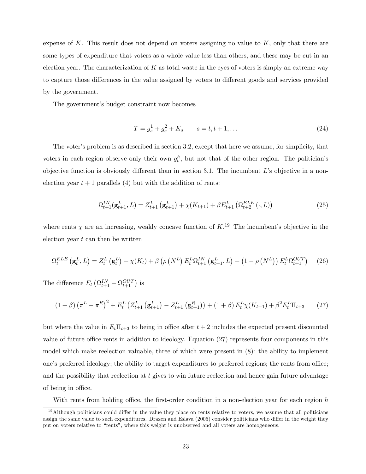expense of K. This result does not depend on voters assigning no value to  $K$ , only that there are some types of expenditure that voters as a whole value less than others, and these may be cut in an election year. The characterization of  $K$  as total waste in the eyes of voters is simply an extreme way to capture those differences in the value assigned by voters to different goods and services provided by the government.

The government's budget constraint now becomes

$$
T = g_s^1 + g_s^2 + K_s \qquad s = t, t + 1, \dots \tag{24}
$$

The voter's problem is as described in section 3.2, except that here we assume, for simplicity, that voters in each region observe only their own  $g_t^h$ , but not that of the other region. The politician's objective function is obviously different than in section 3.1. The incumbent  $L$ 's objective in a nonelection year  $t + 1$  parallels (4) but with the addition of rents:

$$
\Omega_{t+1}^{IN}(\mathbf{g}_{t+1}^{L}, L) = Z_{t+1}^{L}(\mathbf{g}_{t+1}^{L}) + \chi(K_{t+1}) + \beta E_{t+1}^{L}(\Omega_{t+2}^{ELE}(\cdot, L))
$$
\n(25)

where rents  $\chi$  are an increasing, weakly concave function of  $K$ .<sup>19</sup> The incumbent's objective in the election year  $t$  can then be written

$$
\Omega_t^{ELE} \left( \mathbf{g}_t^L, L \right) = Z_t^L \left( \mathbf{g}_t^L \right) + \chi(K_t) + \beta \left( \rho \left( N^L \right) E_t^L \Omega_{t+1}^{IN} \left( \mathbf{g}_{t+1}^L, L \right) + \left( 1 - \rho \left( N^L \right) \right) E_t^L \Omega_{t+1}^{OUT} \right) \tag{26}
$$

The difference  $E_t \left( \Omega_{t+1}^{IN} - \Omega_{t+1}^{OUT} \right)$  is

$$
(1+\beta)\left(\pi^L - \pi^R\right)^2 + E_t^L \left(Z_{t+1}^L \left(\mathbf{g}_{t+1}^L\right) - Z_{t+1}^L \left(\mathbf{g}_{t+1}^R\right)\right) + (1+\beta) E_t^L \chi(K_{t+1}) + \beta^2 E_t^L \Pi_{t+3} \tag{27}
$$

but where the value in  $E_t\Pi_{t+3}$  to being in office after  $t+2$  includes the expected present discounted value of future office rents in addition to ideology. Equation (27) represents four components in this model which make reelection valuable, three of which were present in (8): the ability to implement one's preferred ideology; the ability to target expenditures to preferred regions; the rents from office; and the possibility that reelection at  $t$  gives to win future reelection and hence gain future advantage of being in office.

With rents from holding office, the first-order condition in a non-election year for each region h

 $19$ Although politicians could differ in the value they place on rents relative to voters, we assume that all politicians assign the same value to such expenditures. Drazen and Eslava (2005) consider politicians who differ in the weight they put on voters relative to "rents", where this weight is unobserved and all voters are homogeneous.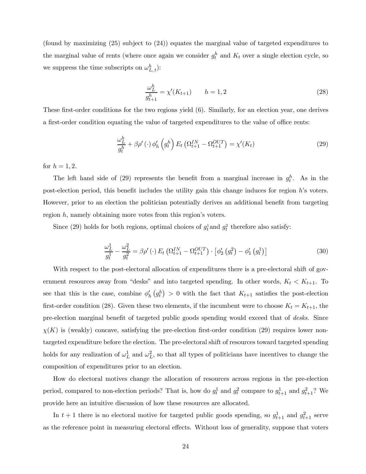(found by maximizing (25) subject to (24)) equates the marginal value of targeted expenditures to the marginal value of rents (where once again we consider  $g_t^h$  and  $K_t$  over a single election cycle, so we suppress the time subscripts on  $\omega_{L,t}^h$ ):

$$
\frac{\omega_L^h}{g_{t+1}^h} = \chi'(K_{t+1}) \qquad h = 1,2
$$
\n(28)

These first-order conditions for the two regions yield (6). Similarly, for an election year, one derives a first-order condition equating the value of targeted expenditures to the value of office rents:

$$
\frac{\omega_L^h}{g_t^h} + \beta \rho'(\cdot) \phi_h' \left(g_t^h\right) E_t \left(\Omega_{t+1}^{IN} - \Omega_{t+1}^{OUT}\right) = \chi'(K_t)
$$
\n(29)

for  $h = 1, 2$ .

The left hand side of (29) represents the benefit from a marginal increase in  $g_t^h$ . As in the post-election period, this benefit includes the utility gain this change induces for region h's voters. However, prior to an election the politician potentially derives an additional benefit from targeting region h, namely obtaining more votes from this region's voters.

Since (29) holds for both regions, optimal choices of  $g_t^1$  and  $g_t^2$  therefore also satisfy:

$$
\frac{\omega_L^1}{g_t^1} - \frac{\omega_L^2}{g_t^2} = \beta \rho'(\cdot) E_t \left( \Omega_{t+1}^{IN} - \Omega_{t+1}^{OUT} \right) \cdot \left[ \phi_2' \left( g_t^2 \right) - \phi_1' \left( g_t^1 \right) \right]
$$
\n(30)

With respect to the post-electoral allocation of expenditures there is a pre-electoral shift of government resources away from "desks" and into targeted spending. In other words,  $K_t < K_{t+1}$ . To see that this is the case, combine  $\phi'_h(g^h_t) > 0$  with the fact that  $K_{t+1}$  satisfies the post-election first-order condition (28). Given these two elements, if the incumbent were to choose  $K_t = K_{t+1}$ , the pre-election marginal benefit of targeted public goods spending would exceed that of desks. Since  $\chi(K)$  is (weakly) concave, satisfying the pre-election first-order condition (29) requires lower nontargeted expenditure before the election. The pre-electoral shift of resources toward targeted spending holds for any realization of  $\omega_L^1$  and  $\omega_L^2$ , so that all types of politicians have incentives to change the composition of expenditures prior to an election.

How do electoral motives change the allocation of resources across regions in the pre-election period, compared to non-election periods? That is, how do  $g_t^1$  and  $g_t^2$  compare to  $g_{t+1}^1$  and  $g_{t+1}^2$ ? We provide here an intuitive discussion of how these resources are allocated.

In  $t + 1$  there is no electoral motive for targeted public goods spending, so  $g_{t+1}^1$  and  $g_{t+1}^2$  serve as the reference point in measuring electoral effects. Without loss of generality, suppose that voters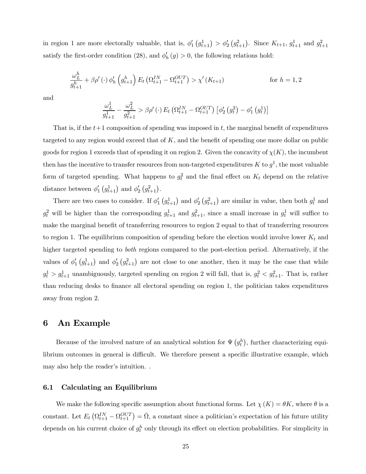in region 1 are more electorally valuable, that is,  $\phi'_1(q_{t+1}^1) > \phi'_2(q_{t+1}^2)$ . Since  $K_{t+1}$ ,  $g_{t+1}^1$  and  $g_{t+1}^2$ satisfy the first-order condition (28), and  $\phi'_h(g) > 0$ , the following relations hold:

$$
\frac{\omega_L^h}{g_{t+1}^h} + \beta \rho'(\cdot) \phi_h' \left(g_{t+1}^h\right) E_t \left(\Omega_{t+1}^{IN} - \Omega_{t+1}^{OUT}\right) > \chi'(K_{t+1}) \qquad \text{for } h = 1, 2
$$

and

$$
\frac{\omega_L^1}{g_{t+1}^1} - \frac{\omega_L^2}{g_{t+1}^2} > \beta \rho'(\cdot) E_t \left( \Omega_{t+1}^{IN} - \Omega_{t+1}^{OUT} \right) \left[ \phi_2' \left( g_t^2 \right) - \phi_1' \left( g_t^1 \right) \right]
$$

That is, if the  $t+1$  composition of spending was imposed in t, the marginal benefit of expenditures targeted to any region would exceed that of  $K$ , and the benefit of spending one more dollar on public goods for region 1 exceeds that of spending it on region 2. Given the concavity of  $\chi(K)$ , the incumbent then has the incentive to transfer resources from non-targeted expenditures K to  $g^1$ , the most valuable form of targeted spending. What happens to  $g_t^2$  and the final effect on  $K_t$  depend on the relative distance between  $\phi'_1(g_{t+1}^1)$  and  $\phi'_2(g_{t+1}^2)$ .

There are two cases to consider. If  $\phi'_1$   $(g_{t+1}^1)$  and  $\phi'_2$   $(g_{t+1}^2)$  are similar in value, then both  $g_t^1$  and  $g_t^2$  will be higher than the corresponding  $g_{t+1}^1$  and  $g_{t+1}^2$ , since a small increase in  $g_t^1$  will suffice to make the marginal benefit of transferring resources to region 2 equal to that of transferring resources to region 1. The equilibrium composition of spending before the election would involve lower  $K_t$  and higher targeted spending to both regions compared to the post-election period. Alternatively, if the values of  $\phi'_1$   $(g_{t+1}^1)$  and  $\phi'_2$   $(g_{t+1}^2)$  are not close to one another, then it may be the case that while  $g_t^1 > g_{t+1}^1$  unambiguously, targeted spending on region 2 will fall, that is,  $g_t^2 < g_{t+1}^2$ . That is, rather than reducing desks to finance all electoral spending on region 1, the politician takes expenditures away from region 2.

## 6 An Example

Because of the involved nature of an analytical solution for  $\Psi(g_t^h)$ , further characterizing equilibrium outcomes in general is difficult. We therefore present a specific illustrative example, which may also help the reader's intuition. .

#### 6.1 Calculating an Equilibrium

We make the following specific assumption about functional forms. Let  $\chi(K) = \theta K$ , where  $\theta$  is a constant. Let  $E_t \left( \Omega_{t+1}^{IN} - \Omega_{t+1}^{OUT} \right) = \overline{\Omega}$ , a constant since a politician's expectation of his future utility depends on his current choice of  $g_t^h$  only through its effect on election probabilities. For simplicity in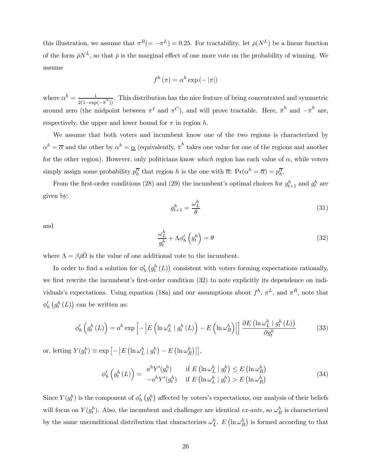this illustration, we assume that  $\pi^R (=-\pi^L)=0.25$ . For tractability. let  $\rho(N^L)$  be a linear function of the form  $\bar{\rho}N^L$ , so that  $\bar{\rho}$  is the marginal effect of one more vote on the probability of winning. We assume

$$
f^h(\pi) = \alpha^h \exp(-|\pi|)
$$

where  $\alpha^h = \frac{1}{2(1-\exp(-\bar{\pi}^h))}$ . This distribution has the nice feature of being concentrated and symmetric around zero (the midpoint between  $\pi^I$  and  $\pi^C$ ), and will prove tractable. Here,  $\bar{\pi}^h$  and  $-\bar{\pi}^h$  are, respectively, the upper and lower bound for  $\pi$  in region h.

We assume that both voters and incumbent know one of the two regions is characterized by  $\alpha^h = \overline{\alpha}$  and the other by  $\alpha^h = \underline{\alpha}$  (equivalently,  $\overline{\pi}^h$  takes one value for one of the regions and another for the other region). However, only politicians know which region has each value of  $\alpha$ , while voters simply assign some probability  $p_h^{\overline{\alpha}}$  that region h is the one with  $\overline{\alpha}$ :  $Pr(\alpha^h = \overline{\alpha}) = p_h^{\overline{\alpha}}$ .

From the first-order conditions (28) and (29) the incumbent's optimal choices for  $g_{t+1}^h$  and  $g_t^h$  are given by:

$$
g_{t+1}^h = \frac{\omega_L^h}{\theta} \tag{31}
$$

and

$$
\frac{\omega_L^h}{g_t^h} + \Lambda \phi_h' \left( g_t^h \right) = \theta \tag{32}
$$

where  $\Lambda = \beta \bar{\rho} \bar{\Omega}$  is the value of one additional vote to the incumbent.

In order to find a solution for  $\phi'_h(g_t^h(L))$  consistent with voters forming expectations rationally, we first rewrite the incumbent's first-order condition (32) to note explicitly its dependence on individuals's expectations. Using equation (18a) and our assumptions about  $f^h$ ,  $\pi^L$ , and  $\pi^R$ , note that  $\phi'_{h}\left(g_{t}^{h}\left(L\right)\right)$  can be written as:

$$
\phi'_{h}\left(g_{t}^{h}\left(L\right)\right) = a^{h} \exp\left[-\left|E\left(\ln \omega_{L}^{h} \mid g_{t}^{h}\left(L\right)\right) - E\left(\ln \omega_{R}^{h}\right)\right|\right] \frac{\partial E\left(\ln \omega_{L}^{h} \mid g_{t}^{h}\left(L\right)\right)}{\partial g_{t}^{h}}
$$
(33)

or, letting  $Y(g_t^h) \equiv \exp \left[ - \left| E \left( \ln \omega_L^h \mid g_t^h \right) - E \left( \ln \omega_R^h \right) \right| \right],$ 

$$
\phi'_{h}\left(g_{t}^{h}\left(L\right)\right) = \begin{array}{cc} a^{h}Y'(g_{t}^{h}) & \text{if } E\left(\ln\omega_{L}^{h} \mid g_{t}^{h}\right) \leq E\left(\ln\omega_{R}^{h}\right) \\ -a^{h}Y'(g_{t}^{h}) & \text{if } E\left(\ln\omega_{L}^{h} \mid g_{t}^{h}\right) > E\left(\ln\omega_{R}^{h}\right) \end{array} \tag{34}
$$

Since  $Y(g_t^h)$  is the component of  $\phi'_h(g_t^h)$  affected by voters's expectations, our analysis of their beliefs will focus on  $Y(g_t^h)$ . Also, the incumbent and challenger are identical ex-ante, so  $\omega_R^h$  is characterized by the same unconditional distribution that characterizes  $\omega_L^h$ .  $E\left(\ln \omega_R^h\right)$  is formed according to that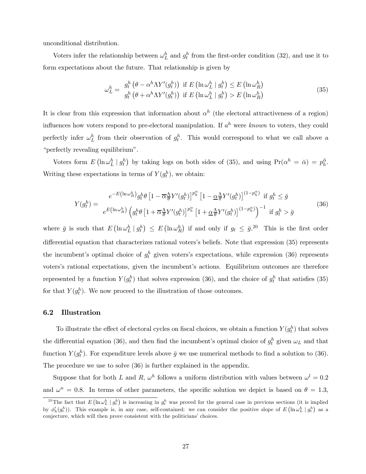unconditional distribution.

Voters infer the relationship between  $\omega_L^h$  and  $g_t^h$  from the first-order condition (32), and use it to form expectations about the future. That relationship is given by

$$
\omega_L^h = g_t^h \left( \theta - \alpha^h \Lambda Y'(g_t^h) \right) \text{ if } E \left( \ln \omega_L^h \mid g_t^h \right) \le E \left( \ln \omega_R^h \right) g_t^h \left( \theta + \alpha^h \Lambda Y'(g_t^h) \right) \text{ if } E \left( \ln \omega_L^h \mid g_t^h \right) > E \left( \ln \omega_R^h \right)
$$
 (35)

It is clear from this expression that information about  $\alpha^h$  (the electoral attractiveness of a region) influences how voters respond to pre-electoral manipulation. If  $a^h$  were known to voters, they could perfectly infer  $\omega_L^h$  from their observation of  $g_t^h$ . This would correspond to what we call above a "perfectly revealing equilibrium".

Voters form  $E\left(\ln \omega_L^h \mid g_t^h\right)$  by taking logs on both sides of (35), and using  $Pr(\alpha^h = \bar{\alpha}) = p_h^{\bar{\alpha}}$ . Writing these expectations in terms of  $Y(g_t^h)$ , we obtain:

$$
Y(g_t^h) = \frac{e^{-E(\ln \omega_R^h)} g_t^h \theta \left[1 - \overline{\alpha} \frac{\Lambda}{\theta} Y'(g_t^h)\right]^{p_h^{\alpha}} \left[1 - \underline{\alpha} \frac{\Lambda}{\theta} Y'(g_t^h)\right]^{(1 - p_h^{\alpha})} \text{ if } g_t^h \le \overline{g}
$$
  

$$
e^{E(\ln \omega_R^h)} \left(g_t^h \theta \left[1 + \overline{\alpha} \frac{\Lambda}{\theta} Y'(g_t^h)\right]^{p_h^{\alpha}} \left[1 + \underline{\alpha} \frac{\Lambda}{\theta} Y'(g_t^h)\right]^{(1 - p_h^{\alpha})}\right)^{-1} \text{ if } g_t^h > \overline{g}
$$
\n
$$
(36)
$$

where  $\bar{g}$  is such that  $E\left(\ln \omega_L^h \mid g_t^h\right) \leq E\left(\ln \omega_R^h\right)$  if and only if  $g_t \leq \bar{g}^{20}$ . This is the first order differential equation that characterizes rational voters's beliefs. Note that expression (35) represents the incumbent's optimal choice of  $g_t^h$  given voters's expectations, while expression (36) represents voters's rational expectations, given the incumbent's actions. Equilibrium outcomes are therefore represented by a function  $Y(g_t^h)$  that solves expression (36), and the choice of  $g_t^h$  that satisfies (35) for that  $Y(g_t^h)$ . We now proceed to the illustration of those outcomes.

#### 6.2 Illustration

To illustrate the effect of electoral cycles on fiscal choices, we obtain a function  $Y(g_t^h)$  that solves the differential equation (36), and then find the incumbent's optimal choice of  $g_t^h$  given  $\omega_L$  and that function  $Y(g_t^h)$ . For expenditure levels above  $\bar{g}$  we use numerical methods to find a solution to (36). The procedure we use to solve (36) is further explained in the appendix.

Suppose that for both L and R,  $\omega^h$  follows a uniform distribution with values between  $\omega^l = 0.2$ and  $\omega^u = 0.8$ . In terms of other parameters, the specific solution we depict is based on  $\theta = 1.3$ ,

<sup>&</sup>lt;sup>20</sup>The fact that  $E\left(\ln \omega_L^h \mid g_t^h\right)$  is increasing in  $g_t^h$  was proved for the general case in previous sections (it is implied by  $\phi'_h(g_t^h)$ . This example is, in any case, self-contained: we can consider the positive slope of  $E\left(\ln \omega_L^h \mid g_t^h\right)$  as a conjecture, which will then prove consistent with the politicians' choices.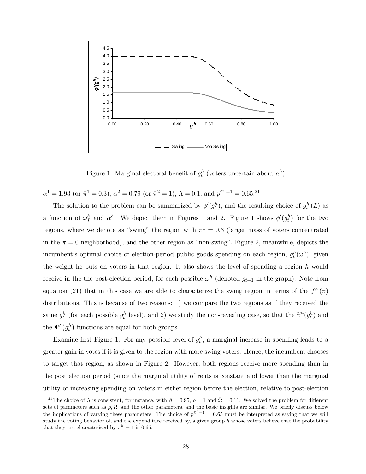

Figure 1: Marginal electoral benefit of  $g_t^h$  (voters uncertain about  $a^h$ )

 $\alpha^{1} = 1.93$  (or  $\bar{\pi}^{1} = 0.3$ ),  $\alpha^{2} = 0.79$  (or  $\bar{\pi}^{2} = 1$ ),  $\Lambda = 0.1$ , and  $p^{\bar{\pi}^{h}=1} = 0.65$ .<sup>21</sup>

The solution to the problem can be summarized by  $\phi'(g_t^h)$ , and the resulting choice of  $g_t^h(L)$  as a function of  $\omega_L^h$  and  $\alpha^h$ . We depict them in Figures 1 and 2. Figure 1 shows  $\phi'(g_t^h)$  for the two regions, where we denote as "swing" the region with  $\bar{\pi}^1 = 0.3$  (larger mass of voters concentrated in the  $\pi = 0$  neighborhood), and the other region as "non-swing". Figure 2, meanwhile, depicts the incumbent's optimal choice of election-period public goods spending on each region,  $g_t^h(\omega^h)$ , given the weight he puts on voters in that region. It also shows the level of spending a region  $h$  would receive in the the post-election period, for each possible  $\omega^h$  (denoted  $g_{t+1}$  in the graph). Note from equation (21) that in this case we are able to characterize the swing region in terms of the  $f^h(\pi)$ distributions. This is because of two reasons: 1) we compare the two regions as if they received the same  $g_t^h$  (for each possible  $g_t^h$  level), and 2) we study the non-revealing case, so that the  $\tilde{\pi}^h(g_t^h)$  and the  $\Psi'(g_t^h)$  functions are equal for both groups.

Examine first Figure 1. For any possible level of  $g_t^h$ , a marginal increase in spending leads to a greater gain in votes if it is given to the region with more swing voters. Hence, the incumbent chooses to target that region, as shown in Figure 2. However, both regions receive more spending than in the post election period (since the marginal utility of rents is constant and lower than the marginal utility of increasing spending on voters in either region before the election, relative to post-election

<sup>&</sup>lt;sup>21</sup>The choice of  $\Lambda$  is consistent, for instance, with  $\beta = 0.95$ ,  $\rho = 1$  and  $\overline{\Omega} = 0.11$ . We solved the problem for different sets of parameters such as  $\rho, \overline{\Omega}$ , and the other parameters, and the basic insights are similar. We briefly discuss below the implications of varying these parameters. The choice of  $p^{\bar{\pi}^h=1} = 0.65$  must be interpreted as saying that we will study the voting behavior of, and the expenditure received by, a given group h whose voters believe that the probability that they are characterized by  $\bar{\pi}^h = 1$  is 0.65.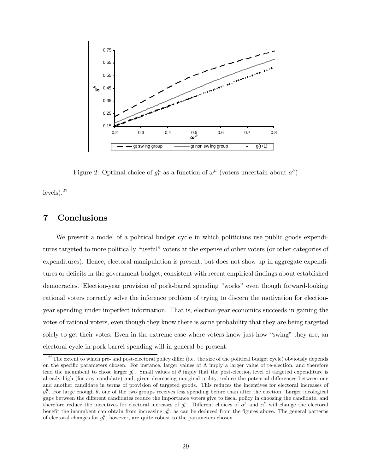

Figure 2: Optimal choice of  $g_t^h$  as a function of  $\omega^h$  (voters uncertain about  $a^h$ )

 $levels).^{22}$ 

## 7 Conclusions

We present a model of a political budget cycle in which politicians use public goods expenditures targeted to more politically "useful" voters at the expense of other voters (or other categories of expenditures). Hence, electoral manipulation is present, but does not show up in aggregate expenditures or deficits in the government budget, consistent with recent empirical findings about established democracies. Election-year provision of pork-barrel spending "works" even though forward-looking rational voters correctly solve the inference problem of trying to discern the motivation for electionyear spending under imperfect information. That is, election-year economics succeeds in gaining the votes of rational voters, even though they know there is some probability that they are being targeted solely to get their votes. Even in the extreme case where voters know just how "swing" they are, an electoral cycle in pork barrel spending will in general be present.

 $^{22}$ The extent to which pre- and post-electoral policy differ (i.e. the size of the political budget cycle) obviously depends on the specific parameters chosen. For instance, larger values of  $\Lambda$  imply a larger value of re-election, and therefore lead the incumbent to chose larger  $g_t^h$ . Small values of  $\theta$  imply that the post-election level of targeted expenditure is already high (for any candidate) and, given decreasing marginal utility, reduce the potential differences between one and another candidate in terms of provision of targeted goods. This reduces the incentives for electoral increases of  $g_t^h$ . For large enough  $\theta$ , one of the two groups receives less spending before than after the election. Larger ideological gaps between the different candidates reduce the importance voters give to fiscal policy in choosing the candidate, and therefore reduce the incentives for electoral increases of  $g_t^h$ . Different choices of  $\alpha^1$  and  $\alpha^2$  will change the electoral benefit the incumbent can obtain from increasing  $g_t^h$ , as can be deduced from the figures above. The general patterns of electoral changes for  $g_t^h$ , however, are quite robust to the parameters chosen.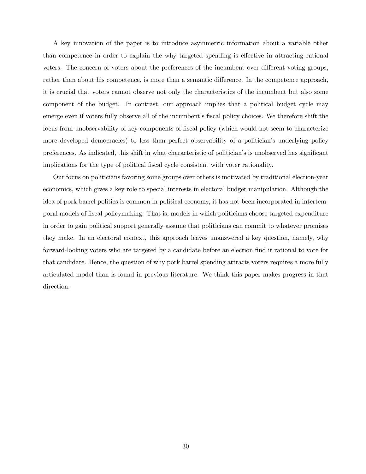A key innovation of the paper is to introduce asymmetric information about a variable other than competence in order to explain the why targeted spending is effective in attracting rational voters. The concern of voters about the preferences of the incumbent over different voting groups, rather than about his competence, is more than a semantic difference. In the competence approach, it is crucial that voters cannot observe not only the characteristics of the incumbent but also some component of the budget. In contrast, our approach implies that a political budget cycle may emerge even if voters fully observe all of the incumbent's fiscal policy choices. We therefore shift the focus from unobservability of key components of fiscal policy (which would not seem to characterize more developed democracies) to less than perfect observability of a politician's underlying policy preferences. As indicated, this shift in what characteristic of politician's is unobserved has significant implications for the type of political fiscal cycle consistent with voter rationality.

Our focus on politicians favoring some groups over others is motivated by traditional election-year economics, which gives a key role to special interests in electoral budget manipulation. Although the idea of pork barrel politics is common in political economy, it has not been incorporated in intertemporal models of fiscal policymaking. That is, models in which politicians choose targeted expenditure in order to gain political support generally assume that politicians can commit to whatever promises they make. In an electoral context, this approach leaves unanswered a key question, namely, why forward-looking voters who are targeted by a candidate before an election find it rational to vote for that candidate. Hence, the question of why pork barrel spending attracts voters requires a more fully articulated model than is found in previous literature. We think this paper makes progress in that direction.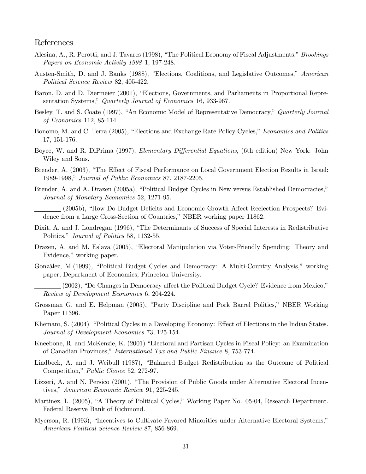## References

- Alesina, A., R. Perotti, and J. Tavares (1998), "The Political Economy of Fiscal Adjustments," Brookings Papers on Economic Activity 1998 1, 197-248.
- Austen-Smith, D. and J. Banks (1988), "Elections, Coalitions, and Legislative Outcomes," American Political Science Review 82, 405-422.
- Baron, D. and D. Diermeier (2001), "Elections, Governments, and Parliaments in Proportional Representation Systems," Quarterly Journal of Economics 16, 933-967.
- Besley, T. and S. Coate (1997), "An Economic Model of Representative Democracy," Quarterly Journal of Economics 112, 85-114.
- Bonomo, M. and C. Terra (2005), "Elections and Exchange Rate Policy Cycles," Economics and Politics 17, 151-176.
- Boyce, W. and R. DiPrima (1997), *Elementary Differential Equations*, (6th edition) New York: John Wiley and Sons.
- Brender, A. (2003), "The Effect of Fiscal Performance on Local Government Election Results in Israel: 1989-1998," Journal of Public Economics 87, 2187-2205.
- Brender, A. and A. Drazen (2005a), "Political Budget Cycles in New versus Established Democracies," Journal of Monetary Economics 52, 1271-95.
- (2005b), "How Do Budget Deficits and Economic Growth Affect Reelection Prospects? Evidence from a Large Cross-Section of Countries," NBER working paper 11862.
- Dixit, A. and J. Londregan (1996), "The Determinants of Success of Special Interests in Redistributive Politics," Journal of Politics 58, 1132-55.
- Drazen, A. and M. Eslava (2005), "Electoral Manipulation via Voter-Friendly Spending: Theory and Evidence," working paper.
- Gonzàlez, M.(1999), "Political Budget Cycles and Democracy: A Multi-Country Analysis," working paper, Department of Economics, Princeton University.

- Grossman G. and E. Helpman (2005), "Party Discipline and Pork Barrel Politics," NBER Working Paper 11396.
- Khemani, S. (2004) "Political Cycles in a Developing Economy: Effect of Elections in the Indian States. Journal of Development Economics 73, 125-154.
- Kneebone, R. and McKenzie, K. (2001) "Electoral and Partisan Cycles in Fiscal Policy: an Examination of Canadian Provinces," International Tax and Public Finance 8, 753-774.
- Lindbeck, A. and J. Weibull (1987), "Balanced Budget Redistribution as the Outcome of Political Competition," Public Choice 52, 272-97.
- Lizzeri, A. and N. Persico (2001), "The Provision of Public Goods under Alternative Electoral Incentives," American Economic Review 91, 225-245.
- Martinez, L. (2005), "A Theory of Political Cycles," Working Paper No. 05-04, Research Department. Federal Reserve Bank of Richmond.
- Myerson, R. (1993), "Incentives to Cultivate Favored Minorities under Alternative Electoral Systems," American Political Science Review 87, 856-869.

<sup>(2002), &</sup>quot;Do Changes in Democracy affect the Political Budget Cycle? Evidence from Mexico," Review of Development Economics 6, 204-224.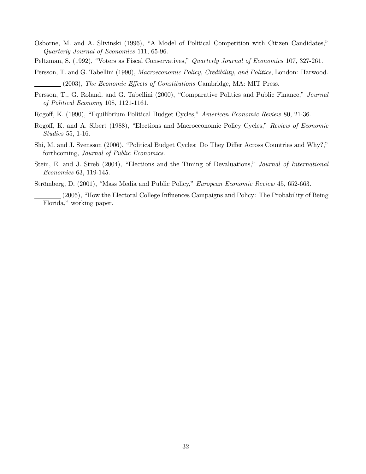- Osborne, M. and A. Slivinski (1996), "A Model of Political Competition with Citizen Candidates," Quarterly Journal of Economics 111, 65-96.
- Peltzman, S. (1992), "Voters as Fiscal Conservatives," Quarterly Journal of Economics 107, 327-261.
- Persson, T. and G. Tabellini (1990), Macroeconomic Policy, Credibility, and Politics, London: Harwood. (2003), The Economic Effects of Constitutions Cambridge, MA: MIT Press.
- Persson, T., G. Roland, and G. Tabellini (2000), "Comparative Politics and Public Finance," Journal of Political Economy 108, 1121-1161.
- Rogoff, K. (1990), "Equilibrium Political Budget Cycles," American Economic Review 80, 21-36.
- Rogoff, K. and A. Sibert (1988), "Elections and Macroeconomic Policy Cycles," Review of Economic Studies 55, 1-16.
- Shi, M. and J. Svensson (2006), "Political Budget Cycles: Do They Differ Across Countries and Why?," forthcoming, Journal of Public Economics.
- Stein, E. and J. Streb (2004), "Elections and the Timing of Devaluations," Journal of International Economics 63, 119-145.
- Strömberg, D. (2001), "Mass Media and Public Policy," European Economic Review 45, 652-663.

(2005), "How the Electoral College Influences Campaigns and Policy: The Probability of Being Florida," working paper.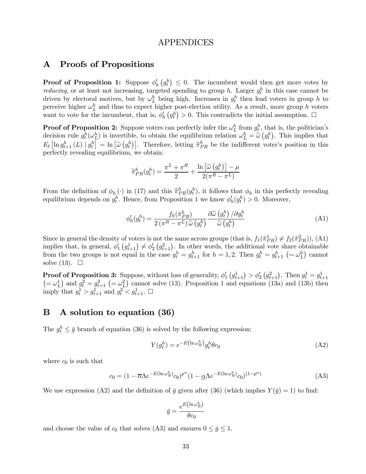## APPENDICES

## A Proofs of Propositions

**Proof of Proposition 1:** Suppose  $\phi'_h(g^h) \leq 0$ . The incumbent would then get more votes by *reducing*, or at least not increasing, targeted spending to group h. Larger  $g_t^h$  in this case cannot be driven by electoral motives, but by  $\omega_L^h$  being high. Increases in  $g_t^h$  then lead voters in group h to perceive higher  $\omega_L^h$  and thus to expect higher post-election utility. As a result, more group h voters want to vote for the incumbent, that is,  $\phi'_h(g_t^h) > 0$ . This contradicts the initial assumption.  $\Box$ 

**Proof of Proposition 2:** Suppose voters can perfectly infer the  $\omega_L^h$  from  $g_t^h$ , that is, the politician's decision rule  $g_t^h(\omega_L^h)$  is invertible, to obtain the equilibrium relation  $\omega_L^h = \tilde{\omega}(g_t^h)$ . This implies that  $E_t\left[\ln g_{t+1}^h\left(L\right) \mid g_t^h\right] = \ln \left[\tilde{\omega}\left(g_t^h\right)\right]$ . Therefore, letting  $\tilde{\pi}_{PR}^h$  be the indifferent voter's position in this perfectly revealing equilibrium, we obtain:

$$
\widetilde{\pi}_{PR}^h(g_t^h) = \frac{\pi^L + \pi^R}{2} + \frac{\ln\left[\widetilde{\omega}\left(g_t^h\right)\right] - \mu}{2(\pi^R - \pi^L)}
$$

From the definition of  $\phi_h(\cdot)$  in (17) and this  $\tilde{\pi}_{PR}^h(g_t^h)$ , it follows that  $\phi_h$  in this perfectly revealing equilibrium depends on  $g_t^h$ . Hence, from Proposition 1 we know  $\phi'_h(g_t^h) > 0$ . Moreover,

$$
\phi'_h(g^h_t) = \frac{f_h(\tilde{\pi}_{PR}^h)}{2\left(\pi^R - \pi^L\right)\tilde{\omega}\left(g^h_t\right)} \frac{\partial \tilde{\omega}\left(g^h_t\right)/\partial g^h_t}{\tilde{\omega}\left(g^h_t\right)}\tag{A1}
$$

Since in general the density of voters is not the same across groups (that is,  $f_1(\tilde{\pi}_{PR}^1) \neq f_2(\tilde{\pi}_{PR}^2)$ ), (A1) implies that, in general,  $\phi'_1(g_{t+1}^1) \neq \phi'_2(g_{t+1}^2)$ . In other words, the additional vote share obtainable from the two groups is not equal in the case  $g_t^h = g_{t+1}^h$  for  $h = 1, 2$ . Then  $g_t^h = g_{t+1}^h$  (=  $\omega_L^h$ ) cannot solve  $(13)$ .  $\Box$ 

**Proof of Proposition 3:** Suppose, without loss of generality,  $\phi'_1(g_{t+1}^1) > \phi'_2(g_{t+1}^2)$ . Then  $g_t^1 = g_{t+1}^1$  $(=\omega_L^1)$  and  $g_t^2 = g_{t+1}^2$   $(=\omega_L^2)$  cannot solve (13). Proposition 1 and equations (13a) and (13b) then imply that  $g_t^1 > g_{t+1}^1$  and  $g_t^2 < g_{t+1}^1$ .  $\Box$ 

## B A solution to equation (36)

The  $g_t^h \leq \bar{g}$  branch of equation (36) is solved by the following expression:

$$
Y(g_t^h) = e^{-E(\ln \omega_R^h)} g_t^h \theta c_0 \tag{A2}
$$

where  $c_0$  is such that

$$
c_0 = (1 - \overline{\alpha} \Lambda e^{-E(\ln \omega_R^h)} c_0)^{p^{\alpha}} (1 - \underline{\alpha} \Lambda e^{-E(\ln \omega_R^h)} c_0)^{(1 - p^{\alpha})}
$$
(A3)

We use expression (A2) and the definition of  $\bar{g}$  given after (36) (which implies  $Y(\bar{g})=1$ ) to find:

$$
\bar{g} = \frac{e^{E(\ln \omega_R^h)}}{\theta c_0}
$$

and choose the value of  $c_0$  that solves (A3) and ensures  $0 \leq \bar{g} \leq 1$ .